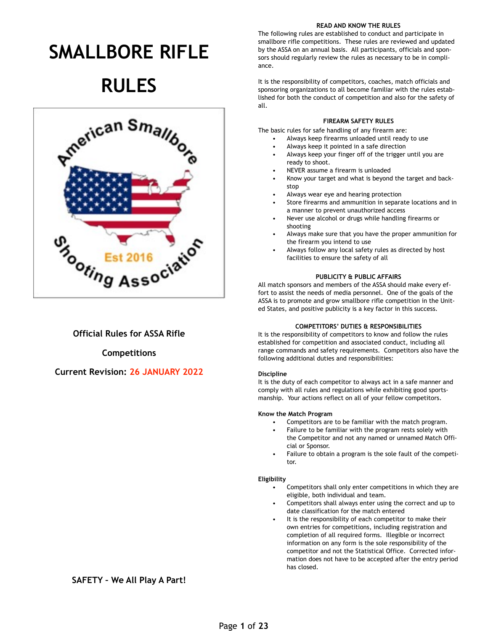# **SMALLBORE RIFLE**

# **RULES**



## **Official Rules for ASSA Rifle**

### **Competitions**

## **Current Revision: 26 JANUARY 2022**

#### **READ AND KNOW THE RULES**

The following rules are established to conduct and participate in smallbore rifle competitions. These rules are reviewed and updated by the ASSA on an annual basis. All participants, officials and sponsors should regularly review the rules as necessary to be in compliance.

It is the responsibility of competitors, coaches, match officials and sponsoring organizations to all become familiar with the rules established for both the conduct of competition and also for the safety of all.

## **FIREARM SAFETY RULES**

The basic rules for safe handling of any firearm are:

- Always keep firearms unloaded until ready to use
- Always keep it pointed in a safe direction
- Always keep your finger off of the trigger until you are ready to shoot.
- NEVER assume a firearm is unloaded
- Know your target and what is beyond the target and backstop
- Always wear eye and hearing protection
- Store firearms and ammunition in separate locations and in a manner to prevent unauthorized access
- Never use alcohol or drugs while handling firearms or shooting
- Always make sure that you have the proper ammunition for the firearm you intend to use
- Always follow any local safety rules as directed by host facilities to ensure the safety of all

## **PUBLICITY & PUBLIC AFFAIRS**

All match sponsors and members of the ASSA should make every effort to assist the needs of media personnel. One of the goals of the ASSA is to promote and grow smallbore rifle competition in the United States, and positive publicity is a key factor in this success.

## **COMPETITORS' DUTIES & RESPONSIBILITIES**

It is the responsibility of competitors to know and follow the rules established for competition and associated conduct, including all range commands and safety requirements. Competitors also have the following additional duties and responsibilities:

## **Discipline**

It is the duty of each competitor to always act in a safe manner and comply with all rules and regulations while exhibiting good sportsmanship. Your actions reflect on all of your fellow competitors.

## **Know the Match Program**

- Competitors are to be familiar with the match program.
- Failure to be familiar with the program rests solely with the Competitor and not any named or unnamed Match Official or Sponsor.
- Failure to obtain a program is the sole fault of the competitor.

#### **Eligibility**

- Competitors shall only enter competitions in which they are eligible, both individual and team.
- Competitors shall always enter using the correct and up to date classification for the match entered
- It is the responsibility of each competitor to make their own entries for competitions, including registration and completion of all required forms. Illegible or incorrect information on any form is the sole responsibility of the competitor and not the Statistical Office. Corrected information does not have to be accepted after the entry period has closed.

## **SAFETY – We All Play A Part!**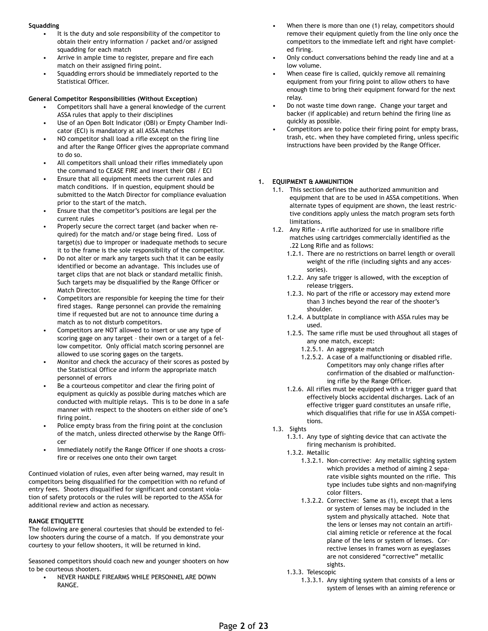#### **Squadding**

- It is the duty and sole responsibility of the competitor to obtain their entry information / packet and/or assigned squadding for each match
- Arrive in ample time to register, prepare and fire each match on their assigned firing point.
- Squadding errors should be immediately reported to the Statistical Officer.

#### **General Competitor Responsibilities (Without Exception)**

- Competitors shall have a general knowledge of the current ASSA rules that apply to their disciplines
- Use of an Open Bolt Indicator (OBI) or Empty Chamber Indicator (ECI) is mandatory at all ASSA matches
- NO competitor shall load a rifle except on the firing line and after the Range Officer gives the appropriate command to do so.
- All competitors shall unload their rifles immediately upon the command to CEASE FIRE and insert their OBI / ECI
- Ensure that all equipment meets the current rules and match conditions. If in question, equipment should be submitted to the Match Director for compliance evaluation prior to the start of the match.
- Ensure that the competitor's positions are legal per the current rules
- Properly secure the correct target (and backer when required) for the match and/or stage being fired. Loss of target(s) due to improper or inadequate methods to secure it to the frame is the sole responsibility of the competitor.
- Do not alter or mark any targets such that it can be easily identified or become an advantage. This includes use of target clips that are not black or standard metallic finish. Such targets may be disqualified by the Range Officer or Match Director.
- Competitors are responsible for keeping the time for their fired stages. Range personnel can provide the remaining time if requested but are not to announce time during a match as to not disturb competitors.
- Competitors are NOT allowed to insert or use any type of scoring gage on any target – their own or a target of a fellow competitor. Only official match scoring personnel are allowed to use scoring gages on the targets.
- Monitor and check the accuracy of their scores as posted by the Statistical Office and inform the appropriate match personnel of errors
- Be a courteous competitor and clear the firing point of equipment as quickly as possible during matches which are conducted with multiple relays. This is to be done in a safe manner with respect to the shooters on either side of one's firing point.
- Police empty brass from the firing point at the conclusion of the match, unless directed otherwise by the Range Officer
- Immediately notify the Range Officer if one shoots a crossfire or receives one onto their own target

Continued violation of rules, even after being warned, may result in competitors being disqualified for the competition with no refund of entry fees. Shooters disqualified for significant and constant violation of safety protocols or the rules will be reported to the ASSA for additional review and action as necessary.

#### **RANGE ETIQUETTE**

The following are general courtesies that should be extended to fellow shooters during the course of a match. If you demonstrate your courtesy to your fellow shooters, it will be returned in kind.

Seasoned competitors should coach new and younger shooters on how to be courteous shooters.

• NEVER HANDLE FIREARMS WHILE PERSONNEL ARE DOWN RANGE.

- When there is more than one (1) relay, competitors should remove their equipment quietly from the line only once the competitors to the immediate left and right have completed firing.
- Only conduct conversations behind the ready line and at a low volume.
- When cease fire is called, quickly remove all remaining equipment from your firing point to allow others to have enough time to bring their equipment forward for the next relay.
- Do not waste time down range. Change your target and backer (if applicable) and return behind the firing line as quickly as possible.
- Competitors are to police their firing point for empty brass, trash, etc. when they have completed firing, unless specific instructions have been provided by the Range Officer.

#### **1. EQUIPMENT & AMMUNITION**

- 1.1. This section defines the authorized ammunition and equipment that are to be used in ASSA competitions. When alternate types of equipment are shown, the least restrictive conditions apply unless the match program sets forth limitations.
- 1.2. Any Rifle A rifle authorized for use in smallbore rifle matches using cartridges commercially identified as the .22 Long Rifle and as follows:
	- 1.2.1. There are no restrictions on barrel length or overall weight of the rifle (including sights and any accessories).
	- 1.2.2. Any safe trigger is allowed, with the exception of release triggers.
	- 1.2.3. No part of the rifle or accessory may extend more than 3 inches beyond the rear of the shooter's shoulder.
	- 1.2.4. A buttplate in compliance with ASSA rules may be used.
	- 1.2.5. The same rifle must be used throughout all stages of any one match, except:
		- 1.2.5.1. An aggregate match
		- 1.2.5.2. A case of a malfunctioning or disabled rifle. Competitors may only change rifles after confirmation of the disabled or malfunctioning rifle by the Range Officer.
	- 1.2.6. All rifles must be equipped with a trigger guard that effectively blocks accidental discharges. Lack of an effective trigger guard constitutes an unsafe rifle, which disqualifies that rifle for use in ASSA competitions.
- 1.3. Sights
	- 1.3.1. Any type of sighting device that can activate the firing mechanism is prohibited.
	- 1.3.2. Metallic
		- 1.3.2.1. Non-corrective: Any metallic sighting system which provides a method of aiming 2 separate visible sights mounted on the rifle. This type includes tube sights and non-magnifying color filters.
		- 1.3.2.2. Corrective: Same as (1), except that a lens or system of lenses may be included in the system and physically attached. Note that the lens or lenses may not contain an artificial aiming reticle or reference at the focal plane of the lens or system of lenses. Corrective lenses in frames worn as eyeglasses are not considered "corrective" metallic sights.
	- 1.3.3. Telescopic
		- 1.3.3.1. Any sighting system that consists of a lens or system of lenses with an aiming reference or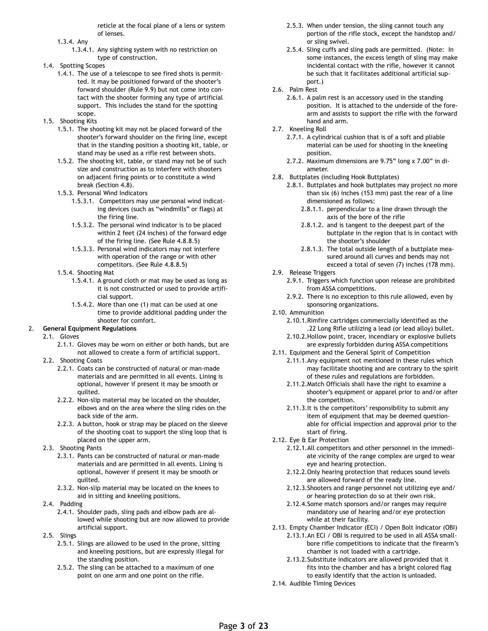reticle at the focal plane of a lens or system of lenses.

- 1.3.4. Any
	- 1.3.4.1. Any sighting system with no restriction on type of construction.
- 1.4. Spotting Scopes
	- 1.4.1. The use of a telescope to see fired shots is permitted. It may be positioned forward of the shooter's forward shoulder (Rule 9.9) but not come into contact with the shooter forming any type of artificial support. This includes the stand for the spotting scope.
- 1.5. Shooting Kits
	- 1.5.1. The shooting kit may not be placed forward of the shooter's forward shoulder on the firing line, except that in the standing position a shooting kit, table, or stand may be used as a rifle rest between shots.
	- 1.5.2. The shooting kit, table, or stand may not be of such size and construction as to interfere with shooters on adjacent firing points or to constitute a wind break (Section 4.8).
	- 1.5.3. Personal Wind Indicators
		- 1.5.3.1. Competitors may use personal wind indicating devices (such as "windmills" or flags) at the firing line.
		- 1.5.3.2. The personal wind indicator is to be placed within 2 feet (24 inches) of the forward edge of the firing line. (See Rule 4.8.8.5)
		- 1.5.3.3. Personal wind indicators may not interfere with operation of the range or with other competitors. (See Rule 4.8.8.5)
	- 1.5.4. Shooting Mat
		- 1.5.4.1. A ground cloth or mat may be used as long as it is not constructed or used to provide artificial support.
		- 1.5.4.2. More than one (1) mat can be used at one time to provide additional padding under the shooter for comfort.

#### 2. **General Equipment Regulations**

#### 2.1. Gloves

- 2.1.1. Gloves may be worn on either or both hands, but are not allowed to create a form of artificial support.
- 2.2. Shooting Coats
	- 2.2.1. Coats can be constructed of natural or man-made materials and are permitted in all events. Lining is optional, however if present it may be smooth or quilted.
	- 2.2.2. Non-slip material may be located on the shoulder, elbows and on the area where the sling rides on the back side of the arm.
	- 2.2.3. A button, hook or strap may be placed on the sleeve of the shooting coat to support the sling loop that is placed on the upper arm.
- 2.3. Shooting Pants
	- 2.3.1. Pants can be constructed of natural or man-made materials and are permitted in all events. Lining is optional, however if present it may be smooth or quilted.
	- 2.3.2. Non-slip material may be located on the knees to aid in sitting and kneeling positions.
- 2.4. Padding
	- 2.4.1. Shoulder pads, sling pads and elbow pads are allowed while shooting but are now allowed to provide artificial support.
- 2.5. Slings
	- 2.5.1. Slings are allowed to be used in the prone, sitting and kneeling positions, but are expressly illegal for the standing position.
	- 2.5.2. The sling can be attached to a maximum of one point on one arm and one point on the rifle.
- 2.5.3. When under tension, the sling cannot touch any portion of the rifle stock, except the handstop and/ or sling swivel.
- 2.5.4. Sling cuffs and sling pads are permitted. (Note: In some instances, the excess length of sling may make incidental contact with the rifle, however it cannot be such that it facilitates additional artificial support.)
- 2.6. Palm Rest
	- 2.6.1. A palm rest is an accessory used in the standing position. It is attached to the underside of the forearm and assists to support the rifle with the forward hand and arm.
- 2.7. Kneeling Roll
	- 2.7.1. A cylindrical cushion that is of a soft and pliable material can be used for shooting in the kneeling position.
	- 2.7.2. Maximum dimensions are 9.75" long x 7.00" in diameter.
- 2.8. Buttplates (including Hook Buttplates)
	- 2.8.1. Buttplates and hook buttplates may project no more than six (6) inches (153 mm) past the rear of a line dimensioned as follows:
		- 2.8.1.1. perpendicular to a line drawn through the axis of the bore of the rifle
		- 2.8.1.2. and is tangent to the deepest part of the buttplate in the region that is in contact with the shooter's shoulder
		- 2.8.1.3. The total outside length of a buttplate measured around all curves and bends may not exceed a total of seven (7) inches (178 mm).
- 2.9. Release Triggers
	- 2.9.1. Triggers which function upon release are prohibited from ASSA competitions.
	- 2.9.2. There is no exception to this rule allowed, even by sponsoring organizations.
- 2.10. Ammunition
	- 2.10.1.Rimfire cartridges commercially identified as the .22 Long Rifle utilizing a lead (or lead alloy) bullet.
	- 2.10.2.Hollow point, tracer, incendiary or explosive bullets are expressly forbidden during ASSA competitions
- 2.11. Equipment and the General Spirit of Competition
	- 2.11.1.Any equipment not mentioned in these rules which may facilitate shooting and are contrary to the spirit of these rules and regulations are forbidden.
	- 2.11.2.Match Officials shall have the right to examine a shooter's equipment or apparel prior to and/or after the competition.
	- 2.11.3.It is the competitors' responsibility to submit any item of equipment that may be deemed questionable for official inspection and approval prior to the start of firing.
- 2.12. Eye & Ear Protection
	- 2.12.1.All competitors and other personnel in the immediate vicinity of the range complex are urged to wear eye and hearing protection.
	- 2.12.2.Only hearing protection that reduces sound levels are allowed forward of the ready line.
	- 2.12.3.Shooters and range personnel not utilizing eye and/ or hearing protection do so at their own risk.
	- 2.12.4.Some match sponsors and/or ranges may require mandatory use of hearing and/or eye protection while at their facility.
- 2.13. Empty Chamber Indicator (ECI) / Open Bolt Indicator (OBI)
	- 2.13.1.An ECI / OBI is required to be used in all ASSA smallbore rifle competitions to indicate that the firearm's chamber is not loaded with a cartridge.
	- 2.13.2.Substitute indicators are allowed provided that it fits into the chamber and has a bright colored flag to easily identify that the action is unloaded.
- 2.14. Audible Timing Devices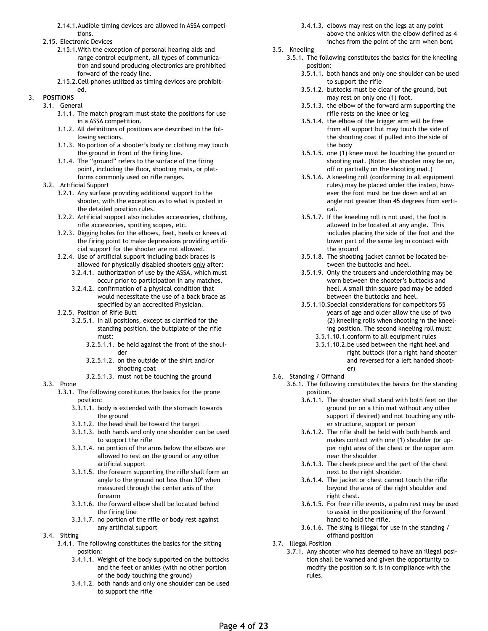- 2.14.1.Audible timing devices are allowed in ASSA competitions.
- 2.15. Electronic Devices
	- 2.15.1.With the exception of personal hearing aids and range control equipment, all types of communication and sound producing electronics are prohibited forward of the ready line.
	- 2.15.2.Cell phones utilized as timing devices are prohibit-

#### ed. 3. **POSITIONS**

- 3.1. General
	- 3.1.1. The match program must state the positions for use in a ASSA competition.
	- 3.1.2. All definitions of positions are described in the following sections.
	- 3.1.3. No portion of a shooter's body or clothing may touch the ground in front of the firing line.
	- 3.1.4. The "ground" refers to the surface of the firing point, including the floor, shooting mats, or platforms commonly used on rifle ranges.
- 3.2. Artificial Support
	- 3.2.1. Any surface providing additional support to the shooter, with the exception as to what is posted in the detailed position rules.
	- 3.2.2. Artificial support also includes accessories, clothing, rifle accessories, spotting scopes, etc.
	- 3.2.3. Digging holes for the elbows, feet, heels or knees at the firing point to make depressions providing artificial support for the shooter are not allowed.
	- 3.2.4. Use of artificial support including back braces is allowed for physically disabled shooters only after:
		- 3.2.4.1. authorization of use by the ASSA, which must occur prior to participation in any matches.
		- 3.2.4.2. confirmation of a physical condition that would necessitate the use of a back brace as specified by an accredited Physician.
	- 3.2.5. Position of Rifle Butt
		- 3.2.5.1. In all positions, except as clarified for the standing position, the buttplate of the rifle must:
			- 3.2.5.1.1. be held against the front of the shoulder
			- 3.2.5.1.2. on the outside of the shirt and/or shooting coat
			- 3.2.5.1.3. must not be touching the ground
- 3.3. Prone
	- 3.3.1. The following constitutes the basics for the prone position:
		- 3.3.1.1. body is extended with the stomach towards the ground
		- 3.3.1.2. the head shall be toward the target
		- 3.3.1.3. both hands and only one shoulder can be used to support the rifle
		- 3.3.1.4. no portion of the arms below the elbows are allowed to rest on the ground or any other artificial support
		- 3.3.1.5. the forearm supporting the rifle shall form an angle to the ground not less than 30º when measured through the center axis of the forearm
		- 3.3.1.6. the forward elbow shall be located behind the firing line
		- 3.3.1.7. no portion of the rifle or body rest against any artificial support
- 3.4. Sitting
	- 3.4.1. The following constitutes the basics for the sitting position:
		- 3.4.1.1. Weight of the body supported on the buttocks and the feet or ankles (with no other portion of the body touching the ground)
		- 3.4.1.2. both hands and only one shoulder can be used to support the rifle
- 3.4.1.3. elbows may rest on the legs at any point above the ankles with the elbow defined as 4 inches from the point of the arm when bent
- 3.5. Kneeling
	- 3.5.1. The following constitutes the basics for the kneeling position:
		- 3.5.1.1. both hands and only one shoulder can be used to support the rifle
		- 3.5.1.2. buttocks must be clear of the ground, but may rest on only one (1) foot.
		- 3.5.1.3. the elbow of the forward arm supporting the rifle rests on the knee or leg
		- 3.5.1.4. the elbow of the trigger arm will be free from all support but may touch the side of the shooting coat if pulled into the side of the body
		- 3.5.1.5. one (1) knee must be touching the ground or shooting mat. (Note: the shooter may be on, off or partially on the shooting mat.)
		- 3.5.1.6. A kneeling roll (conforming to all equipment rules) may be placed under the instep, however the foot must be toe down and at an angle not greater than 45 degrees from vertical.
		- 3.5.1.7. If the kneeling roll is not used, the foot is allowed to be located at any angle. This includes placing the side of the foot and the lower part of the same leg in contact with the ground
		- 3.5.1.8. The shooting jacket cannot be located between the buttocks and heel.
		- 3.5.1.9. Only the trousers and underclothing may be worn between the shooter's buttocks and heel. A small thin square pad may be added between the buttocks and heel.
		- 3.5.1.10.Special considerations for competitors 55 years of age and older allow the use of two (2) kneeling rolls when shooting in the kneeling position. The second kneeling roll must:
			- 3.5.1.10.1.conform to all equipment rules
			- 3.5.1.10.2.be used between the right heel and right buttock (for a right hand shooter and reversed for a left handed shooter)
- 3.6. Standing / Offhand
	- 3.6.1. The following constitutes the basics for the standing position.
		- 3.6.1.1. The shooter shall stand with both feet on the ground (or on a thin mat without any other support if desired) and not touching any other structure, support or person
		- 3.6.1.2. The rifle shall be held with both hands and makes contact with one (1) shoulder (or upper right area of the chest or the upper arm near the shoulder
		- 3.6.1.3. The cheek piece and the part of the chest next to the right shoulder.
		- 3.6.1.4. The jacket or chest cannot touch the rifle beyond the area of the right shoulder and right chest.
		- 3.6.1.5. For free rifle events, a palm rest may be used to assist in the positioning of the forward hand to hold the rifle.
		- 3.6.1.6. The sling is illegal for use in the standing / offhand position
- 3.7. Illegal Position
	- 3.7.1. Any shooter who has deemed to have an illegal position shall be warned and given the opportunity to modify the position so it is in compliance with the rules.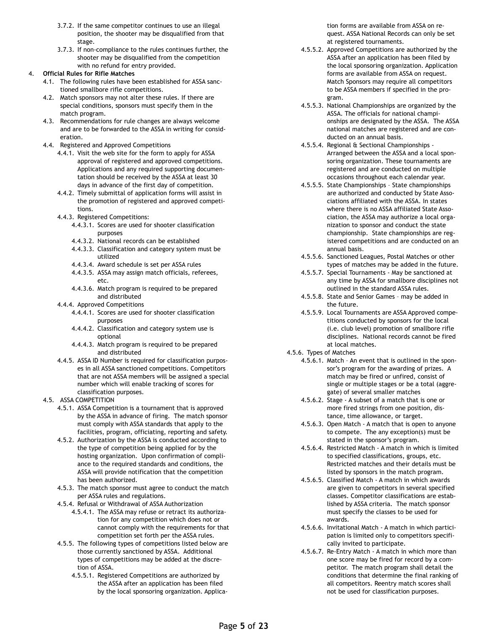- 3.7.2. If the same competitor continues to use an illegal position, the shooter may be disqualified from that stage.
- 3.7.3. If non-compliance to the rules continues further, the shooter may be disqualified from the competition with no refund for entry provided.
- 4. **Official Rules for Rifle Matches**
	- 4.1. The following rules have been established for ASSA sanctioned smallbore rifle competitions.
	- 4.2. Match sponsors may not alter these rules. If there are special conditions, sponsors must specify them in the match program.
	- 4.3. Recommendations for rule changes are always welcome and are to be forwarded to the ASSA in writing for consideration.
	- 4.4. Registered and Approved Competitions
		- 4.4.1. Visit the web site for the form to apply for ASSA approval of registered and approved competitions. Applications and any required supporting documentation should be received by the ASSA at least 30 days in advance of the first day of competition.
		- 4.4.2. Timely submittal of application forms will assist in the promotion of registered and approved competitions.
		- 4.4.3. Registered Competitions:
			- 4.4.3.1. Scores are used for shooter classification purposes
			- 4.4.3.2. National records can be established
			- 4.4.3.3. Classification and category system must be utilized
			- 4.4.3.4. Award schedule is set per ASSA rules
			- 4.4.3.5. ASSA may assign match officials, referees, etc.
			- 4.4.3.6. Match program is required to be prepared and distributed
		- 4.4.4. Approved Competitions
			- 4.4.4.1. Scores are used for shooter classification purposes
			- 4.4.4.2. Classification and category system use is optional
			- 4.4.4.3. Match program is required to be prepared and distributed
		- 4.4.5. ASSA ID Number is required for classification purposes in all ASSA sanctioned competitions. Competitors that are not ASSA members will be assigned a special number which will enable tracking of scores for classification purposes.
	- 4.5. ASSA COMPETITION
		- 4.5.1. ASSA Competition is a tournament that is approved by the ASSA in advance of firing. The match sponsor must comply with ASSA standards that apply to the facilities, program, officiating, reporting and safety.
		- 4.5.2. Authorization by the ASSA is conducted according to the type of competition being applied for by the hosting organization. Upon confirmation of compliance to the required standards and conditions, the ASSA will provide notification that the competition has been authorized.
		- 4.5.3. The match sponsor must agree to conduct the match per ASSA rules and regulations.
		- 4.5.4. Refusal or Withdrawal of ASSA Authorization
			- 4.5.4.1. The ASSA may refuse or retract its authorization for any competition which does not or cannot comply with the requirements for that competition set forth per the ASSA rules.
		- 4.5.5. The following types of competitions listed below are those currently sanctioned by ASSA. Additional types of competitions may be added at the discretion of ASSA.
			- 4.5.5.1. Registered Competitions are authorized by the ASSA after an application has been filed by the local sponsoring organization. Applica-

tion forms are available from ASSA on request. ASSA National Records can only be set at registered tournaments.

- 4.5.5.2. Approved Competitions are authorized by the ASSA after an application has been filed by the local sponsoring organization. Application forms are available from ASSA on request. Match Sponsors may require all competitors to be ASSA members if specified in the program.
- 4.5.5.3. National Championships are organized by the ASSA. The officials for national championships are designated by the ASSA. The ASSA national matches are registered and are conducted on an annual basis.
- 4.5.5.4. Regional & Sectional Championships Arranged between the ASSA and a local sponsoring organization. These tournaments are registered and are conducted on multiple occasions throughout each calendar year.
- 4.5.5.5. State Championships State championships are authorized and conducted by State Associations affiliated with the ASSA. In states where there is no ASSA affiliated State Association, the ASSA may authorize a local organization to sponsor and conduct the state championship. State championships are registered competitions and are conducted on an annual basis.
- 4.5.5.6. Sanctioned Leagues, Postal Matches or other types of matches may be added in the future.
- 4.5.5.7. Special Tournaments May be sanctioned at any time by ASSA for smallbore disciplines not outlined in the standard ASSA rules.
- 4.5.5.8. State and Senior Games may be added in the future.
- 4.5.5.9. Local Tournaments are ASSA Approved competitions conducted by sponsors for the local (i.e. club level) promotion of smallbore rifle disciplines. National records cannot be fired at local matches.
- 4.5.6. Types of Matches
	- 4.5.6.1. Match An event that is outlined in the sponsor's program for the awarding of prizes. A match may be fired or unfired, consist of single or multiple stages or be a total (aggregate) of several smaller matches
	- 4.5.6.2. Stage A subset of a match that is one or more fired strings from one position, distance, time allowance, or target.
	- 4.5.6.3. Open Match A match that is open to anyone to compete. The any exception(s) must be stated in the sponsor's program.
	- 4.5.6.4. Restricted Match A match in which is limited to specified classifications, groups, etc. Restricted matches and their details must be listed by sponsors in the match program.
	- 4.5.6.5. Classified Match A match in which awards are given to competitors in several specified classes. Competitor classifications are established by ASSA criteria. The match sponsor must specify the classes to be used for awards.
	- 4.5.6.6. Invitational Match A match in which participation is limited only to competitors specifically invited to participate.
	- 4.5.6.7. Re-Entry Match A match in which more than one score may be fired for record by a competitor. The match program shall detail the conditions that determine the final ranking of all competitors. Reentry match scores shall not be used for classification purposes.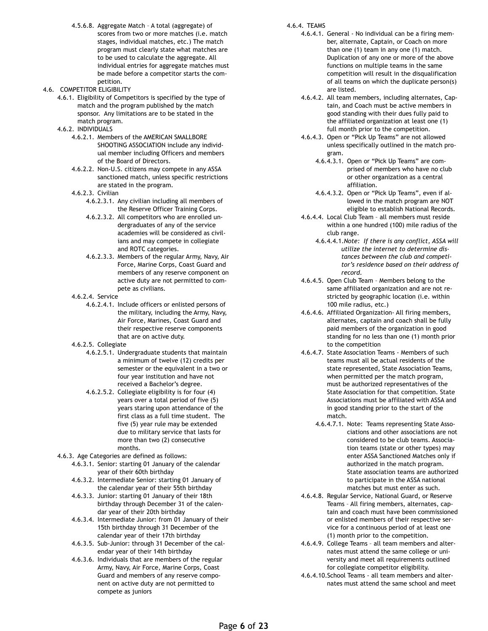4.5.6.8. Aggregate Match – A total (aggregate) of scores from two or more matches (i.e. match stages, individual matches, etc.) The match program must clearly state what matches are to be used to calculate the aggregate. All individual entries for aggregate matches must be made before a competitor starts the competition.

#### 4.6. COMPETITOR ELIGIBILITY

- 4.6.1. Eligibility of Competitors is specified by the type of match and the program published by the match sponsor. Any limitations are to be stated in the match program.
- 4.6.2. INDIVIDUALS
	- 4.6.2.1. Members of the AMERICAN SMALLBORE SHOOTING ASSOCIATION include any individual member including Officers and members of the Board of Directors.
	- 4.6.2.2. Non-U.S. citizens may compete in any ASSA sanctioned match, unless specific restrictions are stated in the program.
	- 4.6.2.3. Civilian
		- 4.6.2.3.1. Any civilian including all members of the Reserve Officer Training Corps.
		- 4.6.2.3.2. All competitors who are enrolled undergraduates of any of the service academies will be considered as civilians and may compete in collegiate and ROTC categories.
		- 4.6.2.3.3. Members of the regular Army, Navy, Air Force, Marine Corps, Coast Guard and members of any reserve component on active duty are not permitted to compete as civilians.
	- 4.6.2.4. Service
		- 4.6.2.4.1. Include officers or enlisted persons of the military, including the Army, Navy, Air Force, Marines, Coast Guard and their respective reserve components that are on active duty.
	- 4.6.2.5. Collegiate
		- 4.6.2.5.1. Undergraduate students that maintain a minimum of twelve (12) credits per semester or the equivalent in a two or four year institution and have not received a Bachelor's degree.
		- 4.6.2.5.2. Collegiate eligibility is for four (4) years over a total period of five (5) years staring upon attendance of the first class as a full time student. The five (5) year rule may be extended due to military service that lasts for more than two (2) consecutive months.
- 4.6.3. Age Categories are defined as follows:
	- 4.6.3.1. Senior: starting 01 January of the calendar year of their 60th birthday
	- 4.6.3.2. Intermediate Senior: starting 01 January of the calendar year of their 55th birthday
	- 4.6.3.3. Junior: starting 01 January of their 18th birthday through December 31 of the calendar year of their 20th birthday
	- 4.6.3.4. Intermediate Junior: from 01 January of their 15th birthday through 31 December of the calendar year of their 17th birthday
	- 4.6.3.5. Sub-Junior: through 31 December of the calendar year of their 14th birthday
	- 4.6.3.6. Individuals that are members of the regular Army, Navy, Air Force, Marine Corps, Coast Guard and members of any reserve component on active duty are not permitted to compete as juniors

#### 4.6.4. TEAMS

- 4.6.4.1. General No individual can be a firing member, alternate, Captain, or Coach on more than one (1) team in any one (1) match. Duplication of any one or more of the above functions on multiple teams in the same competition will result in the disqualification of all teams on which the duplicate person(s) are listed.
- 4.6.4.2. All team members, including alternates, Captain, and Coach must be active members in good standing with their dues fully paid to the affiliated organization at least one (1) full month prior to the competition.
- 4.6.4.3. Open or "Pick Up Teams" are not allowed unless specifically outlined in the match program.
	- 4.6.4.3.1. Open or "Pick Up Teams" are comprised of members who have no club or other organization as a central affiliation.
	- 4.6.4.3.2. Open or "Pick Up Teams", even if allowed in the match program are NOT eligible to establish National Records.
- 4.6.4.4. Local Club Team all members must reside within a one hundred (100) mile radius of the club range.
	- 4.6.4.4.1.*Note: If there is any conflict, ASSA will utilize the internet to determine distances between the club and competitor's residence based on their address of record.*
- 4.6.4.5. Open Club Team Members belong to the same affiliated organization and are not restricted by geographic location (i.e. within 100 mile radius, etc.)
- 4.6.4.6. Affiliated Organization- All firing members, alternates, captain and coach shall be fully paid members of the organization in good standing for no less than one (1) month prior to the competition
- 4.6.4.7. State Association Teams Members of such teams must all be actual residents of the state represented, State Association Teams, when permitted per the match program, must be authorized representatives of the State Association for that competition. State Associations must be affiliated with ASSA and in good standing prior to the start of the match.
	- 4.6.4.7.1. Note: Teams representing State Associations and other associations are not considered to be club teams. Association teams (state or other types) may enter ASSA Sanctioned Matches only if authorized in the match program. State association teams are authorized to participate in the ASSA national matches but must enter as such.
- 4.6.4.8. Regular Service, National Guard, or Reserve Teams – All firing members, alternates, captain and coach must have been commissioned or enlisted members of their respective service for a continuous period of at least one (1) month prior to the competition.
- 4.6.4.9. College Teams all team members and alternates must attend the same college or university and meet all requirements outlined for collegiate competitor eligibility.
- 4.6.4.10.School Teams all team members and alternates must attend the same school and meet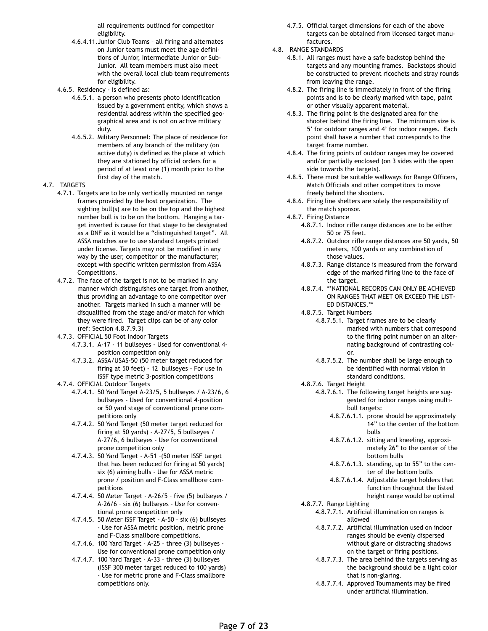all requirements outlined for competitor eligibility.

- 4.6.4.11.Junior Club Teams all firing and alternates on Junior teams must meet the age definitions of Junior, Intermediate Junior or Sub-Junior. All team members must also meet with the overall local club team requirements for eligibility.
- 4.6.5. Residency is defined as:
	- 4.6.5.1. a person who presents photo identification issued by a government entity, which shows a residential address within the specified geographical area and is not on active military duty.
	- 4.6.5.2. Military Personnel: The place of residence for members of any branch of the military (on active duty) is defined as the place at which they are stationed by official orders for a period of at least one (1) month prior to the first day of the match.
- 4.7. TARGETS
	- 4.7.1. Targets are to be only vertically mounted on range frames provided by the host organization. The sighting bull(s) are to be on the top and the highest number bull is to be on the bottom. Hanging a target inverted is cause for that stage to be designated as a DNF as it would be a "distinguished target". All ASSA matches are to use standard targets printed under license. Targets may not be modified in any way by the user, competitor or the manufacturer, except with specific written permission from ASSA Competitions.
	- 4.7.2. The face of the target is not to be marked in any manner which distinguishes one target from another, thus providing an advantage to one competitor over another. Targets marked in such a manner will be disqualified from the stage and/or match for which they were fired. Target clips can be of any color (ref: Section 4.8.7.9.3)
	- 4.7.3. OFFICIAL 50 Foot Indoor Targets
		- 4.7.3.1. A-17 11 bullseyes Used for conventional 4 position competition only
		- 4.7.3.2. ASSA/USAS-50 (50 meter target reduced for firing at 50 feet) - 12 bullseyes - For use in ISSF type metric 3-position competitions
	- 4.7.4. OFFICIAL Outdoor Targets
		- 4.7.4.1. 50 Yard Target A-23/5, 5 bullseyes / A-23/6, 6 bullseyes - Used for conventional 4-position or 50 yard stage of conventional prone competitions only
		- 4.7.4.2. 50 Yard Target (50 meter target reduced for firing at 50 yards) - A-27/5, 5 bullseyes / A-27/6, 6 bullseyes - Use for conventional prone competition only
		- 4.7.4.3. 50 Yard Target A-51 –(50 meter ISSF target that has been reduced for firing at 50 yards) six (6) aiming bulls - Use for ASSA metric prone / position and F-Class smallbore competitions
		- 4.7.4.4. 50 Meter Target A-26/5 five (5) bullseyes / A-26/6 – six (6) bullseyes - Use for conventional prone competition only
		- 4.7.4.5. 50 Meter ISSF Target A-50 six (6) bullseyes - Use for ASSA metric position, metric prone and F-Class smallbore competitions.
		- 4.7.4.6. 100 Yard Target A-25 three (3) bullseyes Use for conventional prone competition only
		- 4.7.4.7. 100 Yard Target A-33 three (3) bullseyes (ISSF 300 meter target reduced to 100 yards) - Use for metric prone and F-Class smallbore competitions only.
- 4.7.5. Official target dimensions for each of the above targets can be obtained from licensed target manufactures.
- 4.8. RANGE STANDARDS
	- 4.8.1. All ranges must have a safe backstop behind the targets and any mounting frames. Backstops should be constructed to prevent ricochets and stray rounds from leaving the range.
	- 4.8.2. The firing line is immediately in front of the firing points and is to be clearly marked with tape, paint or other visually apparent material.
	- 4.8.3. The firing point is the designated area for the shooter behind the firing line. The minimum size is 5' for outdoor ranges and 4' for indoor ranges. Each point shall have a number that corresponds to the target frame number.
	- 4.8.4. The firing points of outdoor ranges may be covered and/or partially enclosed (on 3 sides with the open side towards the targets).
	- 4.8.5. There must be suitable walkways for Range Officers, Match Officials and other competitors to move freely behind the shooters.
	- 4.8.6. Firing line shelters are solely the responsibility of the match sponsor.
	- 4.8.7. Firing Distance
		- 4.8.7.1. Indoor rifle range distances are to be either 50 or 75 feet.
		- 4.8.7.2. Outdoor rifle range distances are 50 yards, 50 meters, 100 yards or any combination of those values.
		- 4.8.7.3. Range distance is measured from the forward edge of the marked firing line to the face of the target.
		- 4.8.7.4. \*\*NATIONAL RECORDS CAN ONLY BE ACHIEVED ON RANGES THAT MEET OR EXCEED THE LIST-ED DISTANCES.\*\*
		- 4.8.7.5. Target Numbers
			- 4.8.7.5.1. Target frames are to be clearly marked with numbers that correspond to the firing point number on an alternating background of contrasting color.
			- 4.8.7.5.2. The number shall be large enough to be identified with normal vision in standard conditions.
		- 4.8.7.6. Target Height
			- 4.8.7.6.1. The following target heights are suggested for indoor ranges using multibull targets:
				- 4.8.7.6.1.1. prone should be approximately 14" to the center of the bottom bulls
				- 4.8.7.6.1.2. sitting and kneeling, approximately 26" to the center of the bottom bulls
				- 4.8.7.6.1.3. standing, up to 55" to the center of the bottom bulls
				- 4.8.7.6.1.4. Adjustable target holders that function throughout the listed height range would be optimal
		- 4.8.7.7. Range Lighting
			- 4.8.7.7.1. Artificial illumination on ranges is allowed
			- 4.8.7.7.2. Artificial illumination used on indoor ranges should be evenly dispersed without glare or distracting shadows on the target or firing positions.
			- 4.8.7.7.3. The area behind the targets serving as the background should be a light color that is non-glaring.
			- 4.8.7.7.4. Approved Tournaments may be fired under artificial illumination.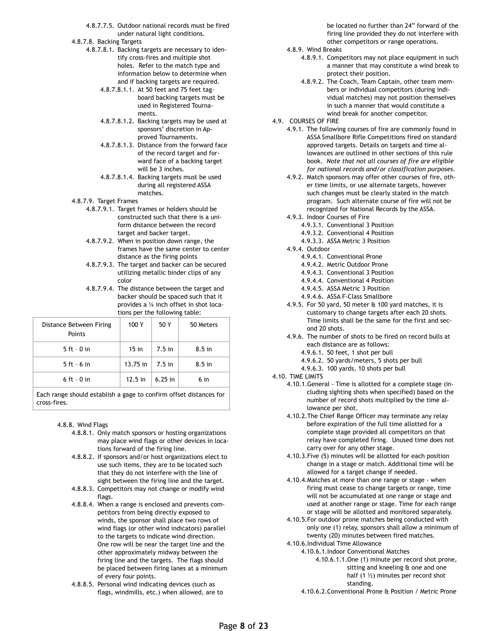- 4.8.7.7.5. Outdoor national records must be fired under natural light conditions.
- 4.8.7.8. Backing Targets
	- 4.8.7.8.1. Backing targets are necessary to identify cross-fires and multiple shot holes. Refer to the match type and information below to determine when and if backing targets are required.
		- 4.8.7.8.1.1. At 50 feet and 75 feet tagboard backing targets must be used in Registered Tournaments.
		- 4.8.7.8.1.2. Backing targets may be used at sponsors' discretion in Approved Tournaments.
		- 4.8.7.8.1.3. Distance from the forward face of the record target and forward face of a backing target will be 3 inches.
		- 4.8.7.8.1.4. Backing targets must be used during all registered ASSA matches.
- 4.8.7.9. Target Frames
	- 4.8.7.9.1. Target frames or holders should be constructed such that there is a uniform distance between the record target and backer target.
	- 4.8.7.9.2. When in position down range, the frames have the same center to center distance as the firing points
	- 4.8.7.9.3. The target and backer can be secured utilizing metallic binder clips of any color
	- 4.8.7.9.4. The distance between the target and backer should be spaced such that it provides a ¼ inch offset in shot locations per the following table:

| Distance Between Firing<br>Points | 100 Y      | 50 Y      | 50 Meters       |
|-----------------------------------|------------|-----------|-----------------|
| $5$ ft - 0 in                     | $15$ in    | $7.5$ in  | $8.5$ in        |
| $5$ ft - 6 in                     | $13.75$ in | $7.5$ in  | $8.5$ in        |
| $6$ ft - $0$ in                   | $12.5$ in  | $6.25$ in | 6 <sub>in</sub> |

Each range should establish a gage to confirm offset distances for cross-fires.

### 4.8.8. Wind Flags

- 4.8.8.1. Only match sponsors or hosting organizations may place wind flags or other devices in locations forward of the firing line.
- 4.8.8.2. If sponsors and/or host organizations elect to use such items, they are to be located such that they do not interfere with the line of sight between the firing line and the target.
- 4.8.8.3. Competitors may not change or modify wind flags.
- 4.8.8.4. When a range is enclosed and prevents competitors from being directly exposed to winds, the sponsor shall place two rows of wind flags (or other wind indicators) parallel to the targets to indicate wind direction. One row will be near the target line and the other approximately midway between the firing line and the targets. The flags should be placed between firing lanes at a minimum of every four points.
- 4.8.8.5. Personal wind indicating devices (such as flags, windmills, etc.) when allowed, are to

be located no further than 24" forward of the firing line provided they do not interfere with other competitors or range operations.

- 4.8.9. Wind Breaks
	- 4.8.9.1. Competitors may not place equipment in such a manner that may constitute a wind break to protect their position.
	- 4.8.9.2. The Coach, Team Captain, other team members or individual competitors (during individual matches) may not position themselves in such a manner that would constitute a wind break for another competitor.
- 4.9. COURSES OF FIRE
	- 4.9.1. The following courses of fire are commonly found in ASSA Smallbore Rifle Competitions fired on standard approved targets. Details on targets and time allowances are outlined in other sections of this rule book. *Note that not all courses of fire are eligible for national records and/or classification purposes.*
	- 4.9.2. Match sponsors may offer other courses of fire, other time limits, or use alternate targets, however such changes must be clearly stated in the match program. Such alternate course of fire will not be recognized for National Records by the ASSA.
	- 4.9.3. Indoor Courses of Fire
		- 4.9.3.1. Conventional 3 Position
		- 4.9.3.2. Conventional 4 Position
		- 4.9.3.3. ASSA Metric 3 Position
	- 4.9.4. Outdoor
		- 4.9.4.1. Conventional Prone
		- 4.9.4.2. Metric Outdoor Prone
		- 4.9.4.3. Conventional 3 Position
		- 4.9.4.4. Conventional 4 Position
		- 4.9.4.5. ASSA Metric 3 Position
		- 4.9.4.6. ASSA F-Class Smallbore
	- 4.9.5. For 50 yard, 50 meter & 100 yard matches, it is customary to change targets after each 20 shots. Time limits shall be the same for the first and second 20 shots.
	- 4.9.6. The number of shots to be fired on record bulls at each distance are as follows:
		- 4.9.6.1. 50 feet, 1 shot per bull
		- 4.9.6.2. 50 yards/meters, 5 shots per bull
		- 4.9.6.3. 100 yards, 10 shots per bull
- 4.10. TIME LIMITS
	- 4.10.1.General Time is allotted for a complete stage (including sighting shots when specified) based on the number of record shots multiplied by the time allowance per shot.
	- 4.10.2.The Chief Range Officer may terminate any relay before expiration of the full time allotted for a complete stage provided all competitors on that relay have completed firing. Unused time does not carry over for any other stage.
	- 4.10.3.Five (5) minutes will be allotted for each position change in a stage or match. Additional time will be allowed for a target change if needed.
	- 4.10.4.Matches at more than one range or stage when firing must cease to change targets or range, time will not be accumulated at one range or stage and used at another range or stage. Time for each range or stage will be allotted and monitored separately.
	- 4.10.5.For outdoor prone matches being conducted with only one (1) relay, sponsors shall allow a minimum of twenty (20) minutes between fired matches.
	- 4.10.6.Individual Time Allowance
		- 4.10.6.1.Indoor Conventional Matches
			- 4.10.6.1.1.One (1) minute per record shot prone, sitting and kneeling & one and one half (1 ½) minutes per record shot standing.
			- 4.10.6.2.Conventional Prone & Position / Metric Prone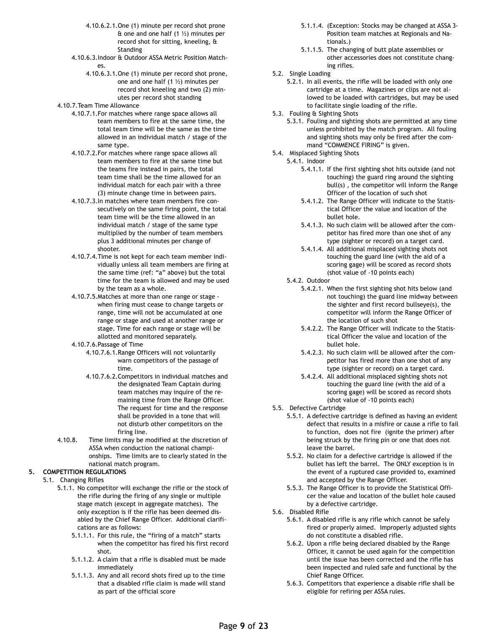- 4.10.6.2.1.One (1) minute per record shot prone  $\hat{\mathbf{t}}$  one and one half (1  $\frac{1}{2}$ ) minutes per record shot for sitting, kneeling, & **Standing**
- 4.10.6.3.Indoor & Outdoor ASSA Metric Position Matches.
	- 4.10.6.3.1.One (1) minute per record shot prone, one and one half (1 ½) minutes per record shot kneeling and two (2) minutes per record shot standing
- 4.10.7.Team Time Allowance
	- 4.10.7.1.For matches where range space allows all team members to fire at the same time, the total team time will be the same as the time allowed in an individual match / stage of the same type.
	- 4.10.7.2.For matches where range space allows all team members to fire at the same time but the teams fire instead in pairs, the total team time shall be the time allowed for an individual match for each pair with a three (3) minute change time in between pairs.
	- 4.10.7.3.In matches where team members fire consecutively on the same firing point, the total team time will be the time allowed in an individual match / stage of the same type multiplied by the number of team members plus 3 additional minutes per change of shooter.
	- 4.10.7.4.Time is not kept for each team member individually unless all team members are firing at the same time (ref: "a" above) but the total time for the team is allowed and may be used by the team as a whole.
	- 4.10.7.5.Matches at more than one range or stage when firing must cease to change targets or range, time will not be accumulated at one range or stage and used at another range or stage. Time for each range or stage will be allotted and monitored separately.
	- 4.10.7.6.Passage of Time
		- 4.10.7.6.1.Range Officers will not voluntarily warn competitors of the passage of time.
		- 4.10.7.6.2.Competitors in individual matches and the designated Team Captain during team matches may inquire of the remaining time from the Range Officer. The request for time and the response shall be provided in a tone that will not disturb other competitors on the firing line.
- 4.10.8. Time limits may be modified at the discretion of ASSA when conduction the national championships. Time limits are to clearly stated in the national match program.
- **5. COMPETITION REGULATIONS** 
	- 5.1. Changing Rifles
		- 5.1.1. No competitor will exchange the rifle or the stock of the rifle during the firing of any single or multiple stage match (except in aggregate matches). The only exception is if the rifle has been deemed disabled by the Chief Range Officer. Additional clarifications are as follows:
			- 5.1.1.1. For this rule, the "firing of a match" starts when the competitor has fired his first record shot.
			- 5.1.1.2. A claim that a rifle is disabled must be made immediately
			- 5.1.1.3. Any and all record shots fired up to the time that a disabled rifle claim is made will stand as part of the official score
- 5.1.1.4. (Exception: Stocks may be changed at ASSA 3- Position team matches at Regionals and Nationals.)
- 5.1.1.5. The changing of butt plate assemblies or other accessories does not constitute changing rifles.
- 5.2. Single Loading
	- 5.2.1. In all events, the rifle will be loaded with only one cartridge at a time. Magazines or clips are not allowed to be loaded with cartridges, but may be used to facilitate single loading of the rifle.
- 5.3. Fouling & Sighting Shots
	- 5.3.1. Fouling and sighting shots are permitted at any time unless prohibited by the match program. All fouling and sighting shots may only be fired after the command "COMMENCE FIRING" is given.
- 5.4. Misplaced Sighting Shots
	- 5.4.1. Indoor
		- 5.4.1.1. If the first sighting shot hits outside (and not touching) the guard ring around the sighting bull(s) , the competitor will inform the Range Officer of the location of such shot
		- 5.4.1.2. The Range Officer will indicate to the Statistical Officer the value and location of the bullet hole.
		- 5.4.1.3. No such claim will be allowed after the competitor has fired more than one shot of any type (sighter or record) on a target card.
		- 5.4.1.4. All additional misplaced sighting shots not touching the guard line (with the aid of a scoring gage) will be scored as record shots (shot value of -10 points each)
	- 5.4.2. Outdoor
		- 5.4.2.1. When the first sighting shot hits below (and not touching) the guard line midway between the sighter and first record bullseye(s), the competitor will inform the Range Officer of the location of such shot
		- 5.4.2.2. The Range Officer will indicate to the Statistical Officer the value and location of the bullet hole.
		- 5.4.2.3. No such claim will be allowed after the competitor has fired more than one shot of any type (sighter or record) on a target card.
		- 5.4.2.4. All additional misplaced sighting shots not touching the guard line (with the aid of a scoring gage) will be scored as record shots (shot value of -10 points each)
- 5.5. Defective Cartridge
	- 5.5.1. A defective cartridge is defined as having an evident defect that results in a misfire or cause a rifle to fail to function, does not fire (ignite the primer) after being struck by the firing pin or one that does not leave the barrel.
	- 5.5.2. No claim for a defective cartridge is allowed if the bullet has left the barrel. The ONLY exception is in the event of a ruptured case provided to, examined and accepted by the Range Officer.
	- 5.5.3. The Range Officer is to provide the Statistical Officer the value and location of the bullet hole caused by a defective cartridge.
- 5.6. Disabled Rifle
	- 5.6.1. A disabled rifle is any rifle which cannot be safely fired or properly aimed. Improperly adjusted sights do not constitute a disabled rifle.
	- 5.6.2. Upon a rifle being declared disabled by the Range Officer, it cannot be used again for the competition until the issue has been corrected and the rifle has been inspected and ruled safe and functional by the Chief Range Officer.
	- 5.6.3. Competitors that experience a disable rifle shall be eligible for refiring per ASSA rules.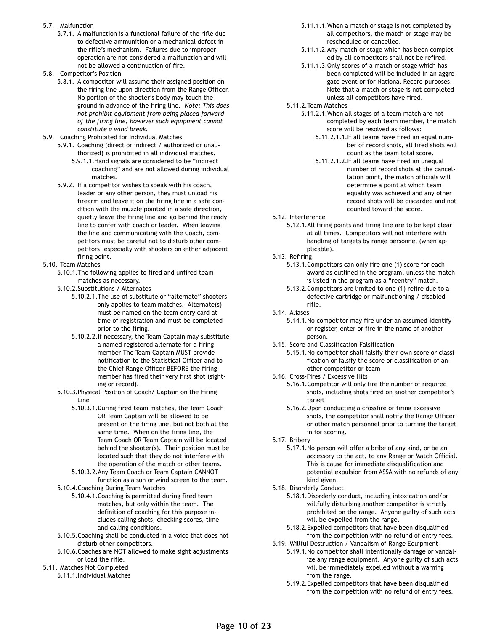- 5.7. Malfunction
	- 5.7.1. A malfunction is a functional failure of the rifle due to defective ammunition or a mechanical defect in the rifle's mechanism. Failures due to improper operation are not considered a malfunction and will not be allowed a continuation of fire.
- 5.8. Competitor's Position
	- 5.8.1. A competitor will assume their assigned position on the firing line upon direction from the Range Officer. No portion of the shooter's body may touch the ground in advance of the firing line. *Note: This does not prohibit equipment from being placed forward of the firing line, however such equipment cannot constitute a wind break.*
- 5.9. Coaching Prohibited for Individual Matches
	- 5.9.1. Coaching (direct or indirect / authorized or unauthorized) is prohibited in all individual matches.
		- 5.9.1.1.Hand signals are considered to be "indirect coaching" and are not allowed during individual matches.
	- 5.9.2. If a competitor wishes to speak with his coach, leader or any other person, they must unload his firearm and leave it on the firing line in a safe condition with the muzzle pointed in a safe direction, quietly leave the firing line and go behind the ready line to confer with coach or leader. When leaving the line and communicating with the Coach, competitors must be careful not to disturb other competitors, especially with shooters on either adjacent firing point.
- 5.10. Team Matches
	- 5.10.1.The following applies to fired and unfired team matches as necessary.
	- 5.10.2.Substitutions / Alternates
		- 5.10.2.1.The use of substitute or "alternate" shooters only applies to team matches. Alternate(s) must be named on the team entry card at time of registration and must be completed prior to the firing.
		- 5.10.2.2.If necessary, the Team Captain may substitute a named registered alternate for a firing member The Team Captain MUST provide notification to the Statistical Officer and to the Chief Range Officer BEFORE the firing member has fired their very first shot (sighting or record).
	- 5.10.3.Physical Position of Coach/ Captain on the Firing Line
		- 5.10.3.1.During fired team matches, the Team Coach OR Team Captain will be allowed to be present on the firing line, but not both at the same time. When on the firing line, the Team Coach OR Team Captain will be located behind the shooter(s). Their position must be located such that they do not interfere with the operation of the match or other teams.
		- 5.10.3.2.Any Team Coach or Team Captain CANNOT function as a sun or wind screen to the team.
	- 5.10.4.Coaching During Team Matches
		- 5.10.4.1.Coaching is permitted during fired team matches, but only within the team. The definition of coaching for this purpose includes calling shots, checking scores, time and calling conditions.
	- 5.10.5.Coaching shall be conducted in a voice that does not disturb other competitors.
	- 5.10.6.Coaches are NOT allowed to make sight adjustments or load the rifle.
- 5.11. Matches Not Completed
	- 5.11.1.Individual Matches
- 5.11.1.1.When a match or stage is not completed by all competitors, the match or stage may be rescheduled or cancelled.
- 5.11.1.2.Any match or stage which has been completed by all competitors shall not be refired.
- 5.11.1.3.Only scores of a match or stage which has been completed will be included in an aggregate event or for National Record purposes. Note that a match or stage is not completed unless all competitors have fired.
- 5.11.2.Team Matches
	- 5.11.2.1.When all stages of a team match are not completed by each team member, the match score will be resolved as follows:
		- 5.11.2.1.1.If all teams have fired an equal number of record shots, all fired shots will count as the team total score.
		- 5.11.2.1.2.If all teams have fired an unequal number of record shots at the cancellation point, the match officials will determine a point at which team equality was achieved and any other record shots will be discarded and not counted toward the score.
- 5.12. Interference
	- 5.12.1.All firing points and firing line are to be kept clear at all times. Competitors will not interfere with handling of targets by range personnel (when applicable).
- 5.13. Refiring
	- 5.13.1.Competitors can only fire one (1) score for each award as outlined in the program, unless the match is listed in the program as a "reentry" match.
	- 5.13.2.Competitors are limited to one (1) refire due to a defective cartridge or malfunctioning / disabled rifle.
- 5.14. Aliases
	- 5.14.1.No competitor may fire under an assumed identify or register, enter or fire in the name of another person.
- 5.15. Score and Classification Falsification
	- 5.15.1.No competitor shall falsify their own score or classification or falsify the score or classification of another competitor or team
- 5.16. Cross-Fires / Excessive Hits
	- 5.16.1.Competitor will only fire the number of required shots, including shots fired on another competitor's target
	- 5.16.2.Upon conducting a crossfire or firing excessive shots, the competitor shall notify the Range Officer or other match personnel prior to turning the target in for scoring.
- 5.17. Bribery
	- 5.17.1.No person will offer a bribe of any kind, or be an accessory to the act, to any Range or Match Official. This is cause for immediate disqualification and potential expulsion from ASSA with no refunds of any kind given.
- 5.18. Disorderly Conduct
	- 5.18.1.Disorderly conduct, including intoxication and/or willfully disturbing another competitor is strictly prohibited on the range. Anyone guilty of such acts will be expelled from the range.
	- 5.18.2.Expelled competitors that have been disqualified from the competition with no refund of entry fees.
- 5.19. Willful Destruction / Vandalism of Range Equipment
	- 5.19.1.No competitor shall intentionally damage or vandalize any range equipment. Anyone guilty of such acts will be immediately expelled without a warning from the range.
	- 5.19.2.Expelled competitors that have been disqualified from the competition with no refund of entry fees.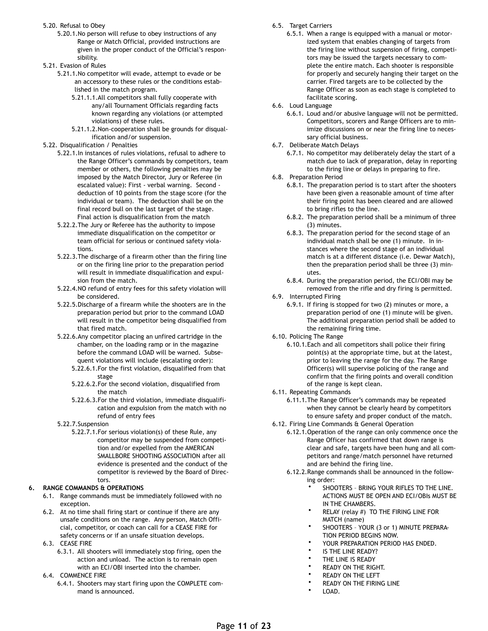- 5.20. Refusal to Obey
	- 5.20.1.No person will refuse to obey instructions of any Range or Match Official, provided instructions are given in the proper conduct of the Official's responsibility.
- 5.21. Evasion of Rules

5.21.1.No competitor will evade, attempt to evade or be an accessory to these rules or the conditions established in the match program.

- 5.21.1.1.All competitors shall fully cooperate with any/all Tournament Officials regarding facts known regarding any violations (or attempted violations) of these rules.
- 5.21.1.2.Non-cooperation shall be grounds for disqualification and/or suspension.

#### 5.22. Disqualification / Penalties

- 5.22.1.In instances of rules violations, refusal to adhere to the Range Officer's commands by competitors, team member or others, the following penalties may be imposed by the Match Director, Jury or Referee (in escalated value): First - verbal warning. Second deduction of 10 points from the stage score (for the individual or team). The deduction shall be on the final record bull on the last target of the stage. Final action is disqualification from the match
- 5.22.2.The Jury or Referee has the authority to impose immediate disqualification on the competitor or team official for serious or continued safety violations.
- 5.22.3.The discharge of a firearm other than the firing line or on the firing line prior to the preparation period will result in immediate disqualification and expulsion from the match.
- 5.22.4.NO refund of entry fees for this safety violation will be considered.
- 5.22.5.Discharge of a firearm while the shooters are in the preparation period but prior to the command LOAD will result in the competitor being disqualified from that fired match.
- 5.22.6.Any competitor placing an unfired cartridge in the chamber, on the loading ramp or in the magazine before the command LOAD will be warned. Subsequent violations will include (escalating order):
	- 5.22.6.1.For the first violation, disqualified from that stage
	- 5.22.6.2.For the second violation, disqualified from the match
	- 5.22.6.3.For the third violation, immediate disqualification and expulsion from the match with no refund of entry fees
- 5.22.7.Suspension
	- 5.22.7.1.For serious violation(s) of these Rule, any competitor may be suspended from competition and/or expelled from the AMERICAN SMALLBORE SHOOTING ASSOCIATION after all evidence is presented and the conduct of the competitor is reviewed by the Board of Directors.

#### **6. RANGE COMMANDS & OPERATIONS**

- 6.1. Range commands must be immediately followed with no exception.
- 6.2. At no time shall firing start or continue if there are any unsafe conditions on the range. Any person, Match Official, competitor, or coach can call for a CEASE FIRE for safety concerns or if an unsafe situation develops.
- 6.3. CEASE FIRE
	- 6.3.1. All shooters will immediately stop firing, open the action and unload. The action is to remain open with an ECI/OBI inserted into the chamber.
- 6.4. COMMENCE FIRE
	- 6.4.1. Shooters may start firing upon the COMPLETE command is announced.
- 6.5. Target Carriers
	- 6.5.1. When a range is equipped with a manual or motorized system that enables changing of targets from the firing line without suspension of firing, competitors may be issued the targets necessary to complete the entire match. Each shooter is responsible for properly and securely hanging their target on the carrier. Fired targets are to be collected by the Range Officer as soon as each stage is completed to facilitate scoring.
- 6.6. Loud Language
	- 6.6.1. Loud and/or abusive language will not be permitted. Competitors, scorers and Range Officers are to minimize discussions on or near the firing line to necessary official business.
- 6.7. Deliberate Match Delays
	- 6.7.1. No competitor may deliberately delay the start of a match due to lack of preparation, delay in reporting to the firing line or delays in preparing to fire.
- 6.8. Preparation Period
	- 6.8.1. The preparation period is to start after the shooters have been given a reasonable amount of time after their firing point has been cleared and are allowed to bring rifles to the line.
	- 6.8.2. The preparation period shall be a minimum of three (3) minutes.
	- 6.8.3. The preparation period for the second stage of an individual match shall be one (1) minute. In instances where the second stage of an individual match is at a different distance (i.e. Dewar Match), then the preparation period shall be three (3) minutes.
	- 6.8.4. During the preparation period, the ECI/OBI may be removed from the rifle and dry firing is permitted.
- 6.9. Interrupted Firing
	- 6.9.1. If firing is stopped for two (2) minutes or more, a preparation period of one (1) minute will be given. The additional preparation period shall be added to the remaining firing time.
- 6.10. Policing The Range
	- 6.10.1.Each and all competitors shall police their firing point(s) at the appropriate time, but at the latest, prior to leaving the range for the day. The Range Officer(s) will supervise policing of the range and confirm that the firing points and overall condition of the range is kept clean.
- 6.11. Repeating Commands
	- 6.11.1.The Range Officer's commands may be repeated when they cannot be clearly heard by competitors to ensure safety and proper conduct of the match.
- 6.12. Firing Line Commands & General Operation
	- 6.12.1.Operation of the range can only commence once the Range Officer has confirmed that down range is clear and safe, targets have been hung and all competitors and range/match personnel have returned and are behind the firing line.
	- 6.12.2.Range commands shall be announced in the following order:
		- SHOOTERS BRING YOUR RIFLES TO THE LINE. ACTIONS MUST BE OPEN AND ECI/OBIs MUST BE IN THE CHAMBERS.
		- RELAY (relay #) TO THE FIRING LINE FOR MATCH (name)
		- SHOOTERS YOUR (3 or 1) MINUTE PREPARA-TION PERIOD BEGINS NOW.
		- YOUR PREPARATION PERIOD HAS ENDED.
		- IS THE LINE READY?
		- THE LINE IS READY
		- READY ON THE RIGHT.
		- READY ON THE LEFT
		- READY ON THE FIRING LINE
		- LOAD.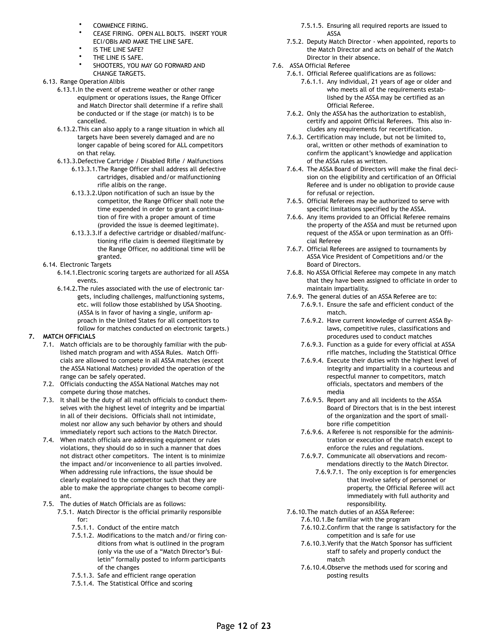- COMMENCE FIRING.
- CEASE FIRING. OPEN ALL BOLTS. INSERT YOUR ECI/OBIs AND MAKE THE LINE SAFE.
- IS THE LINE SAFE?
- THE LINE IS SAFE.
- SHOOTERS, YOU MAY GO FORWARD AND CHANGE TARGETS.
- 6.13. Range Operation Alibis
	- 6.13.1.In the event of extreme weather or other range equipment or operations issues, the Range Officer and Match Director shall determine if a refire shall be conducted or if the stage (or match) is to be cancelled.
	- 6.13.2.This can also apply to a range situation in which all targets have been severely damaged and are no longer capable of being scored for ALL competitors on that relay.
	- 6.13.3.Defective Cartridge / Disabled Rifle / Malfunctions
		- 6.13.3.1.The Range Officer shall address all defective cartridges, disabled and/or malfunctioning rifle alibis on the range.
		- 6.13.3.2.Upon notification of such an issue by the competitor, the Range Officer shall note the time expended in order to grant a continuation of fire with a proper amount of time (provided the issue is deemed legitimate).
		- 6.13.3.3.If a defective cartridge or disabled/malfunctioning rifle claim is deemed illegitimate by the Range Officer, no additional time will be granted.
- 6.14. Electronic Targets
	- 6.14.1.Electronic scoring targets are authorized for all ASSA events.
	- 6.14.2.The rules associated with the use of electronic targets, including challenges, malfunctioning systems, etc. will follow those established by USA Shooting. (ASSA is in favor of having a single, uniform approach in the United States for all competitors to follow for matches conducted on electronic targets.)

### **7. MATCH OFFICIALS**

- 7.1. Match officials are to be thoroughly familiar with the published match program and with ASSA Rules. Match Officials are allowed to compete in all ASSA matches (except the ASSA National Matches) provided the operation of the range can be safely operated.
- 7.2. Officials conducting the ASSA National Matches may not compete during those matches.
- 7.3. It shall be the duty of all match officials to conduct themselves with the highest level of integrity and be impartial in all of their decisions. Officials shall not intimidate, molest nor allow any such behavior by others and should immediately report such actions to the Match Director.
- 7.4. When match officials are addressing equipment or rules violations, they should do so in such a manner that does not distract other competitors. The intent is to minimize the impact and/or inconvenience to all parties involved. When addressing rule infractions, the issue should be clearly explained to the competitor such that they are able to make the appropriate changes to become compliant.
- 7.5. The duties of Match Officials are as follows:
	- 7.5.1. Match Director is the official primarily responsible for:
		- 7.5.1.1. Conduct of the entire match
		- 7.5.1.2. Modifications to the match and/or firing conditions from what is outlined in the program (only via the use of a "Match Director's Bulletin" formally posted to inform participants of the changes
		- 7.5.1.3. Safe and efficient range operation
		- 7.5.1.4. The Statistical Office and scoring
- 7.5.1.5. Ensuring all required reports are issued to ASSA
- 7.5.2. Deputy Match Director when appointed, reports to the Match Director and acts on behalf of the Match Director in their absence.
- 7.6. ASSA Official Referee
	- 7.6.1. Official Referee qualifications are as follows:
		- 7.6.1.1. Any individual, 21 years of age or older and who meets all of the requirements established by the ASSA may be certified as an Official Referee.
	- 7.6.2. Only the ASSA has the authorization to establish, certify and appoint Official Referees. This also includes any requirements for recertification.
	- 7.6.3. Certification may include, but not be limited to, oral, written or other methods of examination to confirm the applicant's knowledge and application of the ASSA rules as written.
	- 7.6.4. The ASSA Board of Directors will make the final decision on the eligibility and certification of an Official Referee and is under no obligation to provide cause for refusal or rejection.
	- 7.6.5. Official Referees may be authorized to serve with specific limitations specified by the ASSA.
	- 7.6.6. Any items provided to an Official Referee remains the property of the ASSA and must be returned upon request of the ASSA or upon termination as an Official Referee
	- 7.6.7. Official Referees are assigned to tournaments by ASSA Vice President of Competitions and/or the Board of Directors.
	- 7.6.8. No ASSA Official Referee may compete in any match that they have been assigned to officiate in order to maintain impartiality.
	- 7.6.9. The general duties of an ASSA Referee are to:
		- 7.6.9.1. Ensure the safe and efficient conduct of the match.
		- 7.6.9.2. Have current knowledge of current ASSA Bylaws, competitive rules, classifications and procedures used to conduct matches
		- 7.6.9.3. Function as a guide for every official at ASSA rifle matches, including the Statistical Office
		- 7.6.9.4. Execute their duties with the highest level of integrity and impartiality in a courteous and respectful manner to competitors, match officials, spectators and members of the media
		- 7.6.9.5. Report any and all incidents to the ASSA Board of Directors that is in the best interest of the organization and the sport of smallbore rifle competition
		- 7.6.9.6. A Referee is not responsible for the administration or execution of the match except to enforce the rules and regulations.
		- 7.6.9.7. Communicate all observations and recommendations directly to the Match Director.
			- 7.6.9.7.1. The only exception is for emergencies that involve safety of personnel or property, the Official Referee will act immediately with full authority and responsibility.
	- 7.6.10.The match duties of an ASSA Referee:
		- 7.6.10.1.Be familiar with the program
			- 7.6.10.2.Confirm that the range is satisfactory for the competition and is safe for use
			- 7.6.10.3.Verify that the Match Sponsor has sufficient staff to safely and properly conduct the match
			- 7.6.10.4.Observe the methods used for scoring and posting results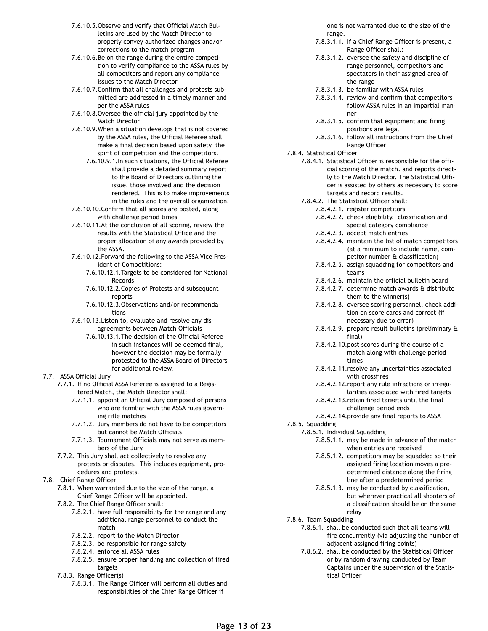- 7.6.10.5.Observe and verify that Official Match Bulletins are used by the Match Director to properly convey authorized changes and/or corrections to the match program
- 7.6.10.6.Be on the range during the entire competition to verify compliance to the ASSA rules by all competitors and report any compliance issues to the Match Director
- 7.6.10.7.Confirm that all challenges and protests submitted are addressed in a timely manner and per the ASSA rules
- 7.6.10.8.Oversee the official jury appointed by the Match Director
- 7.6.10.9.When a situation develops that is not covered by the ASSA rules, the Official Referee shall make a final decision based upon safety, the spirit of competition and the competitors.
	- 7.6.10.9.1.In such situations, the Official Referee shall provide a detailed summary report to the Board of Directors outlining the issue, those involved and the decision rendered. This is to make improvements in the rules and the overall organization.
- 7.6.10.10.Confirm that all scores are posted, along with challenge period times
- 7.6.10.11.At the conclusion of all scoring, review the results with the Statistical Office and the proper allocation of any awards provided by the ASSA.
- 7.6.10.12.Forward the following to the ASSA Vice President of Competitions:
	- 7.6.10.12.1.Targets to be considered for National Records
	- 7.6.10.12.2.Copies of Protests and subsequent reports
	- 7.6.10.12.3.Observations and/or recommendations
- 7.6.10.13.Listen to, evaluate and resolve any disagreements between Match Officials
	- 7.6.10.13.1.The decision of the Official Referee in such instances will be deemed final, however the decision may be formally protested to the ASSA Board of Directors for additional review.

#### 7.7. ASSA Official Jury

- 7.7.1. If no Official ASSA Referee is assigned to a Registered Match, the Match Director shall:
	- 7.7.1.1. appoint an Official Jury composed of persons who are familiar with the ASSA rules governing rifle matches
	- 7.7.1.2. Jury members do not have to be competitors but cannot be Match Officials
	- 7.7.1.3. Tournament Officials may not serve as members of the Jury.
- 7.7.2. This Jury shall act collectively to resolve any protests or disputes. This includes equipment, procedures and protests.
- 7.8. Chief Range Officer
	- 7.8.1. When warranted due to the size of the range, a Chief Range Officer will be appointed.
	- 7.8.2. The Chief Range Officer shall:
		- 7.8.2.1. have full responsibility for the range and any additional range personnel to conduct the match
		- 7.8.2.2. report to the Match Director
		- 7.8.2.3. be responsible for range safety
		- 7.8.2.4. enforce all ASSA rules
		- 7.8.2.5. ensure proper handling and collection of fired targets
	- 7.8.3. Range Officer(s)
		- 7.8.3.1. The Range Officer will perform all duties and responsibilities of the Chief Range Officer if

one is not warranted due to the size of the range.

- 7.8.3.1.1. If a Chief Range Officer is present, a Range Officer shall:
- 7.8.3.1.2. oversee the safety and discipline of range personnel, competitors and spectators in their assigned area of the range
- 7.8.3.1.3. be familiar with ASSA rules
- 7.8.3.1.4. review and confirm that competitors follow ASSA rules in an impartial manner
- 7.8.3.1.5. confirm that equipment and firing positions are legal
- 7.8.3.1.6. follow all instructions from the Chief Range Officer
- 7.8.4. Statistical Officer
	- 7.8.4.1. Statistical Officer is responsible for the official scoring of the match. and reports directly to the Match Director. The Statistical Officer is assisted by others as necessary to score targets and record results.
	- 7.8.4.2. The Statistical Officer shall:
		- 7.8.4.2.1. register competitors
		- 7.8.4.2.2. check eligibility, classification and special category compliance
		- 7.8.4.2.3. accept match entries
		- 7.8.4.2.4. maintain the list of match competitors (at a minimum to include name, competitor number & classification)
		- 7.8.4.2.5. assign squadding for competitors and teams
		- 7.8.4.2.6. maintain the official bulletin board
		- 7.8.4.2.7. determine match awards & distribute them to the winner(s)
		- 7.8.4.2.8. oversee scoring personnel, check addition on score cards and correct (if necessary due to error)
		- 7.8.4.2.9. prepare result bulletins (preliminary & final)
		- 7.8.4.2.10.post scores during the course of a match along with challenge period times
		- 7.8.4.2.11.resolve any uncertainties associated with crossfires
		- 7.8.4.2.12.report any rule infractions or irregularities associated with fired targets
		- 7.8.4.2.13.retain fired targets until the final challenge period ends
		- 7.8.4.2.14.provide any final reports to ASSA
- 7.8.5. Squadding
	- 7.8.5.1. Individual Squadding
		- 7.8.5.1.1. may be made in advance of the match when entries are received
		- 7.8.5.1.2. competitors may be squadded so their assigned firing location moves a predetermined distance along the firing line after a predetermined period
		- 7.8.5.1.3. may be conducted by classification, but wherever practical all shooters of a classification should be on the same relay
- 7.8.6. Team Squadding
	- 7.8.6.1. shall be conducted such that all teams will fire concurrently (via adjusting the number of adjacent assigned firing points)
	- 7.8.6.2. shall be conducted by the Statistical Officer or by random drawing conducted by Team Captains under the supervision of the Statistical Officer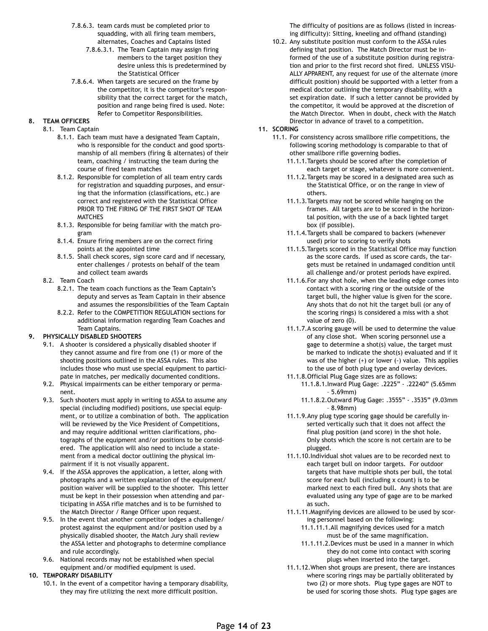- 7.8.6.3. team cards must be completed prior to squadding, with all firing team members, alternates, Coaches and Captains listed
	- 7.8.6.3.1. The Team Captain may assign firing members to the target position they desire unless this is predetermined by the Statistical Officer
- 7.8.6.4. When targets are secured on the frame by the competitor, it is the competitor's responsibility that the correct target for the match, position and range being fired is used. Note: Refer to Competitor Responsibilities.

#### **8. TEAM OFFICERS**

- 8.1. Team Captain
	- 8.1.1. Each team must have a designated Team Captain, who is responsible for the conduct and good sportsmanship of all members (firing & alternates) of their team, coaching / instructing the team during the course of fired team matches
	- 8.1.2. Responsible for completion of all team entry cards for registration and squadding purposes, and ensuring that the information (classifications, etc.) are correct and registered with the Statistical Office PRIOR TO THE FIRING OF THE FIRST SHOT OF TEAM **MATCHES**
	- 8.1.3. Responsible for being familiar with the match program
	- 8.1.4. Ensure firing members are on the correct firing points at the appointed time
	- 8.1.5. Shall check scores, sign score card and if necessary, enter challenges / protests on behalf of the team and collect team awards
- 8.2. Team Coach
	- 8.2.1. The team coach functions as the Team Captain's deputy and serves as Team Captain in their absence and assumes the responsibilities of the Team Captain
	- 8.2.2. Refer to the COMPETITION REGULATION sections for additional information regarding Team Coaches and Team Captains.

### **9. PHYSICALLY DISABLED SHOOTERS**

- 9.1. A shooter is considered a physically disabled shooter if they cannot assume and fire from one (1) or more of the shooting positions outlined in the ASSA rules. This also includes those who must use special equipment to participate in matches, per medically documented conditions.
- 9.2. Physical impairments can be either temporary or permanent.
- 9.3. Such shooters must apply in writing to ASSA to assume any special (including modified) positions, use special equipment, or to utilize a combination of both. The application will be reviewed by the Vice President of Competitions, and may require additional written clarifications, photographs of the equipment and/or positions to be considered. The application will also need to include a statement from a medical doctor outlining the physical impairment if it is not visually apparent.
- 9.4. If the ASSA approves the application, a letter, along with photographs and a written explanation of the equipment/ position waiver will be supplied to the shooter. This letter must be kept in their possession when attending and participating in ASSA rifle matches and is to be furnished to the Match Director / Range Officer upon request.
- 9.5. In the event that another competitor lodges a challenge/ protest against the equipment and/or position used by a physically disabled shooter, the Match Jury shall review the ASSA letter and photographs to determine compliance and rule accordingly.
- 9.6. National records may not be established when special equipment and/or modified equipment is used.

#### **10. TEMPORARY DISABILITY**

10.1. In the event of a competitor having a temporary disability, they may fire utilizing the next more difficult position.

The difficulty of positions are as follows (listed in increasing difficulty): Sitting, kneeling and offhand (standing)

10.2. Any substitute position must conform to the ASSA rules defining that position. The Match Director must be informed of the use of a substitute position during registration and prior to the first record shot fired. UNLESS VISU-ALLY APPARENT, any request for use of the alternate (more difficult position) should be supported with a letter from a medical doctor outlining the temporary disability, with a set expiration date. If such a letter cannot be provided by the competitor, it would be approved at the discretion of the Match Director. When in doubt, check with the Match Director in advance of travel to a competition.

#### **11. SCORING**

- 11.1. For consistency across smallbore rifle competitions, the following scoring methodology is comparable to that of other smallbore rifle governing bodies.
	- 11.1.1.Targets should be scored after the completion of each target or stage, whatever is more convenient.
	- 11.1.2.Targets may be scored in a designated area such as the Statistical Office, or on the range in view of others.
	- 11.1.3.Targets may not be scored while hanging on the frames. All targets are to be scored in the horizontal position, with the use of a back lighted target box (if possible).
	- 11.1.4.Targets shall be compared to backers (whenever used) prior to scoring to verify shots
	- 11.1.5.Targets scored in the Statistical Office may function as the score cards. If used as score cards, the targets must be retained in undamaged condition until all challenge and/or protest periods have expired.
	- 11.1.6.For any shot hole, when the leading edge comes into contact with a scoring ring or the outside of the target bull, the higher value is given for the score. Any shots that do not hit the target bull (or any of the scoring rings) is considered a miss with a shot value of zero (0).
	- 11.1.7.A scoring gauge will be used to determine the value of any close shot. When scoring personnel use a gage to determine a shot(s) value, the target must be marked to indicate the shot(s) evaluated and if it was of the higher (+) or lower (-) value. This applies to the use of both plug type and overlay devices.
	- 11.1.8.Official Plug Gage sizes are as follows:
		- 11.1.8.1.Inward Plug Gage: .2225" .22240" (5.65mm – 5.69mm)
		- 11.1.8.2.Outward Plug Gage: .3555" .3535" (9.03mm – 8.98mm)
	- 11.1.9.Any plug type scoring gage should be carefully inserted vertically such that it does not affect the final plug position (and score) in the shot hole. Only shots which the score is not certain are to be plugged.
	- 11.1.10.Individual shot values are to be recorded next to each target bull on indoor targets. For outdoor targets that have multiple shots per bull, the total score for each bull (including x count) is to be marked next to each fired bull. Any shots that are evaluated using any type of gage are to be marked as such.
	- 11.1.11.Magnifying devices are allowed to be used by scoring personnel based on the following:
		- 11.1.11.1.All magnifying devices used for a match must be of the same magnification.
		- 11.1.11.2.Devices must be used in a manner in which they do not come into contact with scoring plugs when inserted into the target.
	- 11.1.12.When shot groups are present, there are instances where scoring rings may be partially obliterated by two (2) or more shots. Plug type gages are NOT to be used for scoring those shots. Plug type gages are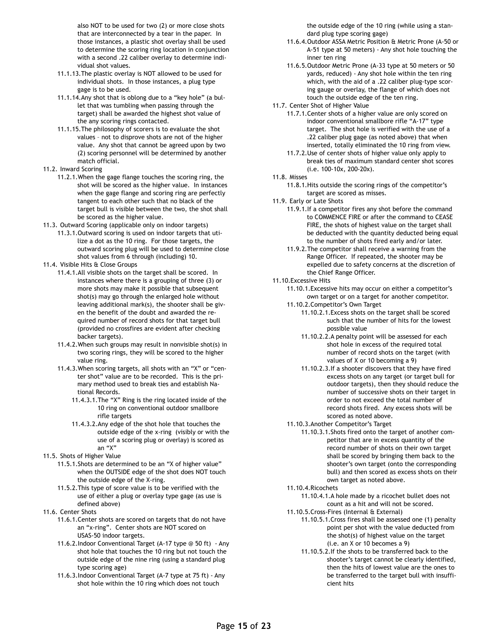also NOT to be used for two (2) or more close shots that are interconnected by a tear in the paper. In those instances, a plastic shot overlay shall be used to determine the scoring ring location in conjunction with a second .22 caliber overlay to determine individual shot values.

- 11.1.13.The plastic overlay is NOT allowed to be used for individual shots. In those instances, a plug type gage is to be used.
- 11.1.14.Any shot that is oblong due to a "key hole" (a bullet that was tumbling when passing through the target) shall be awarded the highest shot value of the any scoring rings contacted.
- 11.1.15.The philosophy of scorers is to evaluate the shot values – not to disprove shots are not of the higher value. Any shot that cannot be agreed upon by two (2) scoring personnel will be determined by another match official.
- 11.2. Inward Scoring
	- 11.2.1.When the gage flange touches the scoring ring, the shot will be scored as the higher value. In instances when the gage flange and scoring ring are perfectly tangent to each other such that no black of the target bull is visible between the two, the shot shall be scored as the higher value.
- 11.3. Outward Scoring (applicable only on indoor targets)
	- 11.3.1.Outward scoring is used on indoor targets that utilize a dot as the 10 ring. For those targets, the outward scoring plug will be used to determine close shot values from 6 through (including) 10.
- 11.4. Visible Hits & Close Groups
	- 11.4.1.All visible shots on the target shall be scored. In instances where there is a grouping of three (3) or more shots may make it possible that subsequent shot(s) may go through the enlarged hole without leaving additional mark(s), the shooter shall be given the benefit of the doubt and awarded the required number of record shots for that target bull (provided no crossfires are evident after checking backer targets).
	- 11.4.2.When such groups may result in nonvisible shot(s) in two scoring rings, they will be scored to the higher value ring.
	- 11.4.3.When scoring targets, all shots with an "X" or "center shot" value are to be recorded. This is the primary method used to break ties and establish National Records.
		- 11.4.3.1.The "X" Ring is the ring located inside of the 10 ring on conventional outdoor smallbore rifle targets
		- 11.4.3.2.Any edge of the shot hole that touches the outside edge of the x-ring (visibly or with the use of a scoring plug or overlay) is scored as an "X"
- 11.5. Shots of Higher Value
	- 11.5.1.Shots are determined to be an "X of higher value" when the OUTSIDE edge of the shot does NOT touch the outside edge of the X-ring.
	- 11.5.2.This type of score value is to be verified with the use of either a plug or overlay type gage (as use is defined above)
- 11.6. Center Shots
	- 11.6.1.Center shots are scored on targets that do not have an "x-ring". Center shots are NOT scored on USAS-50 indoor targets.
	- 11.6.2.Indoor Conventional Target (A-17 type @ 50 ft) Any shot hole that touches the 10 ring but not touch the outside edge of the nine ring (using a standard plug type scoring age)
	- 11.6.3.Indoor Conventional Target (A-7 type at 75 ft) Any shot hole within the 10 ring which does not touch

the outside edge of the 10 ring (while using a standard plug type scoring gage)

- 11.6.4.Outdoor ASSA Metric Position & Metric Prone (A-50 or A-51 type at 50 meters) - Any shot hole touching the inner ten ring
- 11.6.5.Outdoor Metric Prone (A-33 type at 50 meters or 50 yards, reduced) - Any shot hole within the ten ring which, with the aid of a .22 caliber plug-type scoring gauge or overlay, the flange of which does not touch the outside edge of the ten ring.
- 11.7. Center Shot of Higher Value
	- 11.7.1.Center shots of a higher value are only scored on indoor conventional smallbore rifle "A-17" type target. The shot hole is verified with the use of a .22 caliber plug gage (as noted above) that when inserted, totally eliminated the 10 ring from view.
	- 11.7.2.Use of center shots of higher value only apply to break ties of maximum standard center shot scores (i.e. 100-10x, 200-20x).
- 11.8. Misses
	- 11.8.1.Hits outside the scoring rings of the competitor's target are scored as misses.
- 11.9. Early or Late Shots
	- 11.9.1.If a competitor fires any shot before the command to COMMENCE FIRE or after the command to CEASE FIRE, the shots of highest value on the target shall be deducted with the quantity deducted being equal to the number of shots fired early and/or later.
	- 11.9.2.The competitor shall receive a warning from the Range Officer. If repeated, the shooter may be expelled due to safety concerns at the discretion of the Chief Range Officer.
- 11.10.Excessive Hits
	- 11.10.1.Excessive hits may occur on either a competitor's own target or on a target for another competitor. 11.10.2.Competitor's Own Target
		- 11.10.2.1.Excess shots on the target shall be scored such that the number of hits for the lowest possible value
		- 11.10.2.2.A penalty point will be assessed for each shot hole in excess of the required total number of record shots on the target (with values of X or 10 becoming a 9)
		- 11.10.2.3.If a shooter discovers that they have fired excess shots on any target (or target bull for outdoor targets), then they should reduce the number of successive shots on their target in order to not exceed the total number of record shots fired. Any excess shots will be scored as noted above.
	- 11.10.3.Another Competitor's Target
		- 11.10.3.1.Shots fired onto the target of another competitor that are in excess quantity of the record number of shots on their own target shall be scored by bringing them back to the shooter's own target (onto the corresponding bull) and then scored as excess shots on their own target as noted above.
	- 11.10.4.Ricochets
		- 11.10.4.1.A hole made by a ricochet bullet does not count as a hit and will not be scored.
	- 11.10.5.Cross-Fires (Internal & External)
		- 11.10.5.1.Cross fires shall be assessed one (1) penalty point per shot with the value deducted from the shot(s) of highest value on the target (i.e. an X or 10 becomes a 9)
			- 11.10.5.2.If the shots to be transferred back to the shooter's target cannot be clearly identified, then the hits of lowest value are the ones to be transferred to the target bull with insufficient hits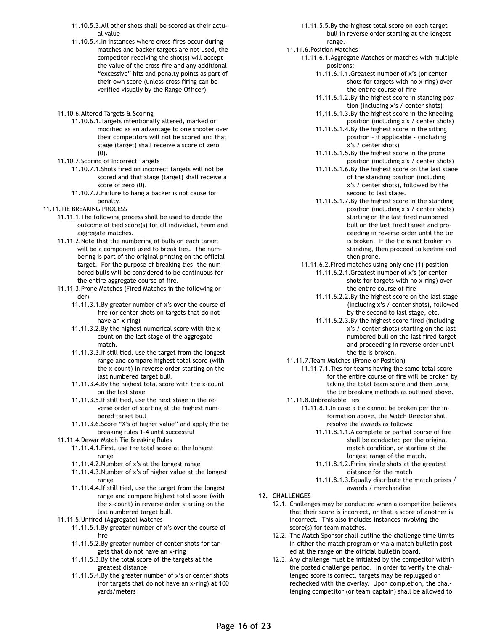- 11.10.5.3.All other shots shall be scored at their actual value
- 11.10.5.4.In instances where cross-fires occur during matches and backer targets are not used, the competitor receiving the shot(s) will accept the value of the cross-fire and any additional "excessive" hits and penalty points as part of their own score (unless cross firing can be verified visually by the Range Officer)
- 11.10.6.Altered Targets & Scoring
	- 11.10.6.1.Targets intentionally altered, marked or modified as an advantage to one shooter over their competitors will not be scored and that stage (target) shall receive a score of zero (0).
- 11.10.7.Scoring of Incorrect Targets
	- 11.10.7.1.Shots fired on incorrect targets will not be scored and that stage (target) shall receive a score of zero (0).
	- 11.10.7.2.Failure to hang a backer is not cause for penalty.
- 11.11.TIE BREAKING PROCESS
	- 11.11.1.The following process shall be used to decide the outcome of tied score(s) for all individual, team and aggregate matches.
	- 11.11.2.Note that the numbering of bulls on each target will be a component used to break ties. The numbering is part of the original printing on the official target. For the purpose of breaking ties, the numbered bulls will be considered to be continuous for the entire aggregate course of fire.
	- 11.11.3.Prone Matches (Fired Matches in the following order)
		- 11.11.3.1.By greater number of x's over the course of fire (or center shots on targets that do not have an x-ring)
		- 11.11.3.2.By the highest numerical score with the xcount on the last stage of the aggregate match.
		- 11.11.3.3.If still tied, use the target from the longest range and compare highest total score (with the x-count) in reverse order starting on the last numbered target bull.
		- 11.11.3.4.By the highest total score with the x-count on the last stage
		- 11.11.3.5.If still tied, use the next stage in the reverse order of starting at the highest numbered target bull
		- 11.11.3.6.Score "X's of higher value" and apply the tie breaking rules 1-4 until successful
	- 11.11.4.Dewar Match Tie Breaking Rules
		- 11.11.4.1.First, use the total score at the longest range
		- 11.11.4.2.Number of x's at the longest range
		- 11.11.4.3.Number of x's of higher value at the longest range
		- 11.11.4.4.If still tied, use the target from the longest range and compare highest total score (with the x-count) in reverse order starting on the last numbered target bull.
	- 11.11.5.Unfired (Aggregate) Matches
		- 11.11.5.1.By greater number of x's over the course of fire
		- 11.11.5.2.By greater number of center shots for targets that do not have an x-ring
		- 11.11.5.3.By the total score of the targets at the greatest distance
		- 11.11.5.4.By the greater number of x's or center shots (for targets that do not have an x-ring) at 100 yards/meters
- 11.11.5.5.By the highest total score on each target bull in reverse order starting at the longest range.
- 11.11.6.Position Matches
	- 11.11.6.1.Aggregate Matches or matches with multiple positions:
		- 11.11.6.1.1.Greatest number of x's (or center shots for targets with no x-ring) over the entire course of fire
		- 11.11.6.1.2.By the highest score in standing position (including x's / center shots)
		- 11.11.6.1.3.By the highest score in the kneeling position (including x's / center shots)
		- 11.11.6.1.4.By the highest score in the sitting position – if applicable - (including x's / center shots)
		- 11.11.6.1.5.By the highest score in the prone position (including x's / center shots)
		- 11.11.6.1.6.By the highest score on the last stage of the standing position (including x's / center shots), followed by the second to last stage.
		- 11.11.6.1.7.By the highest score in the standing position (including x's / center shots) starting on the last fired numbered bull on the last fired target and proceeding in reverse order until the tie is broken. If the tie is not broken in standing, then proceed to keeling and then prone.
	- 11.11.6.2.Fired matches using only one (1) position 11.11.6.2.1.Greatest number of x's (or center shots for targets with no x-ring) over
		- the entire course of fire 11.11.6.2.2.By the highest score on the last stage (including x's / center shots), followed by the second to last stage, etc.
		- 11.11.6.2.3.By the highest score fired (including x's / center shots) starting on the last numbered bull on the last fired target and proceeding in reverse order until the tie is broken.
- 11.11.7.Team Matches (Prone or Position)
	- 11.11.7.1.Ties for teams having the same total score for the entire course of fire will be broken by taking the total team score and then using the tie breaking methods as outlined above.
- 11.11.8.Unbreakable Ties
	- 11.11.8.1.In case a tie cannot be broken per the information above, the Match Director shall resolve the awards as follows:
		- 11.11.8.1.1.A complete or partial course of fire shall be conducted per the original match condition, or starting at the longest range of the match.
		- 11.11.8.1.2.Firing single shots at the greatest distance for the match
		- 11.11.8.1.3.Equally distribute the match prizes / awards / merchandise

#### **12. CHALLENGES**

- 12.1. Challenges may be conducted when a competitor believes that their score is incorrect, or that a score of another is incorrect. This also includes instances involving the score(s) for team matches.
- 12.2. The Match Sponsor shall outline the challenge time limits in either the match program or via a match bulletin posted at the range on the official bulletin board.
- 12.3. Any challenge must be initiated by the competitor within the posted challenge period. In order to verify the challenged score is correct, targets may be replugged or rechecked with the overlay. Upon completion, the challenging competitor (or team captain) shall be allowed to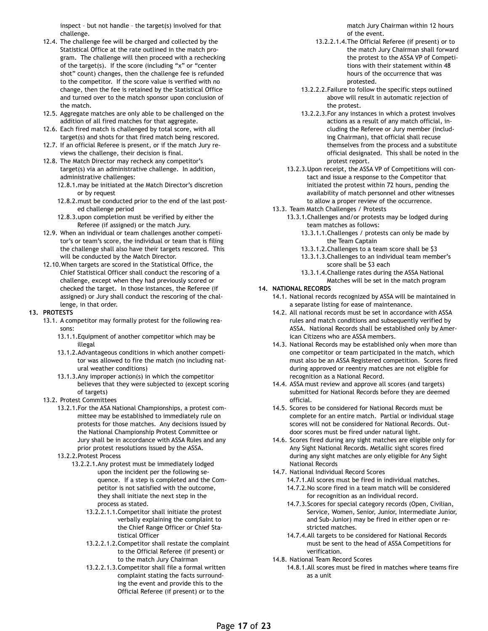inspect – but not handle – the target(s) involved for that challenge.

- 12.4. The challenge fee will be charged and collected by the Statistical Office at the rate outlined in the match program. The challenge will then proceed with a rechecking of the target(s). If the score (including "x" or "center shot" count) changes, then the challenge fee is refunded to the competitor. If the score value is verified with no change, then the fee is retained by the Statistical Office and turned over to the match sponsor upon conclusion of the match.
- 12.5. Aggregate matches are only able to be challenged on the addition of all fired matches for that aggregate.
- 12.6. Each fired match is challenged by total score, with all target(s) and shots for that fired match being rescored.
- 12.7. If an official Referee is present, or if the match Jury reviews the challenge, their decision is final.
- 12.8. The Match Director may recheck any competitor's target(s) via an administrative challenge. In addition, administrative challenges:
	- 12.8.1.may be initiated at the Match Director's discretion or by request
	- 12.8.2.must be conducted prior to the end of the last posted challenge period
	- 12.8.3.upon completion must be verified by either the Referee (if assigned) or the match Jury.
- 12.9. When an individual or team challenges another competitor's or team's score, the individual or team that is filing the challenge shall also have their targets rescored. This will be conducted by the Match Director.
- 12.10.When targets are scored in the Statistical Office, the Chief Statistical Officer shall conduct the rescoring of a challenge, except when they had previously scored or checked the target. In those instances, the Referee (if assigned) or Jury shall conduct the rescoring of the challenge, in that order.

#### **13. PROTESTS**

- 13.1. A competitor may formally protest for the following reasons:
	- 13.1.1.Equipment of another competitor which may be illegal
	- 13.1.2.Advantageous conditions in which another competitor was allowed to fire the match (no including natural weather conditions)
	- 13.1.3.Any improper action(s) in which the competitor believes that they were subjected to (except scoring of targets)
- 13.2. Protest Committees
	- 13.2.1.For the ASA National Championships, a protest committee may be established to immediately rule on protests for those matches. Any decisions issued by the National Championship Protest Committee or Jury shall be in accordance with ASSA Rules and any prior protest resolutions issued by the ASSA.
	- 13.2.2.Protest Process
		- 13.2.2.1.Any protest must be immediately lodged upon the incident per the following sequence. If a step is completed and the Competitor is not satisfied with the outcome, they shall initiate the next step in the process as stated.
			- 13.2.2.1.1.Competitor shall initiate the protest verbally explaining the complaint to the Chief Range Officer or Chief Statistical Officer
			- 13.2.2.1.2.Competitor shall restate the complaint to the Official Referee (if present) or to the match Jury Chairman
			- 13.2.2.1.3.Competitor shall file a formal written complaint stating the facts surrounding the event and provide this to the Official Referee (if present) or to the

match Jury Chairman within 12 hours of the event.

- 13.2.2.1.4.The Official Referee (if present) or to the match Jury Chairman shall forward the protest to the ASSA VP of Competitions with their statement within 48 hours of the occurrence that was protested.
- 13.2.2.2.Failure to follow the specific steps outlined above will result in automatic rejection of the protest.
- 13.2.2.3.For any instances in which a protest involves actions as a result of any match official, including the Referee or Jury member (including Chairman), that official shall recuse themselves from the process and a substitute official designated. This shall be noted in the protest report.
- 13.2.3.Upon receipt, the ASSA VP of Competitions will contact and issue a response to the Competitor that initiated the protest within 72 hours, pending the availability of match personnel and other witnesses to allow a proper review of the occurrence.
- 13.3. Team Match Challenges / Protests
	- 13.3.1.Challenges and/or protests may be lodged during team matches as follows:
		- 13.3.1.1.Challenges / protests can only be made by the Team Captain
		- 13.3.1.2.Challenges to a team score shall be \$3
		- 13.3.1.3.Challenges to an individual team member's score shall be \$3 each
		- 13.3.1.4.Challenge rates during the ASSA National Matches will be set in the match program

#### **14. NATIONAL RECORDS**

- 14.1. National records recognized by ASSA will be maintained in a separate listing for ease of maintenance.
- 14.2. All national records must be set in accordance with ASSA rules and match conditions and subsequently verified by ASSA. National Records shall be established only by American Citizens who are ASSA members.
- 14.3. National Records may be established only when more than one competitor or team participated in the match, which must also be an ASSA Registered competition. Scores fired during approved or reentry matches are not eligible for recognition as a National Record.
- 14.4. ASSA must review and approve all scores (and targets) submitted for National Records before they are deemed official.
- 14.5. Scores to be considered for National Records must be complete for an entire match. Partial or individual stage scores will not be considered for National Records. Outdoor scores must be fired under natural light.
- 14.6. Scores fired during any sight matches are eligible only for Any Sight National Records. Metallic sight scores fired during any sight matches are only eligible for Any Sight National Records
- 14.7. National Individual Record Scores
	- 14.7.1.All scores must be fired in individual matches. 14.7.2.No score fired in a team match will be considered
	- for recognition as an individual record. 14.7.3.Scores for special category records (Open, Civilian, Service, Women, Senior, Junior, Intermediate Junior,
	- and Sub-Junior) may be fired in either open or restricted matches. 14.7.4.All targets to be considered for National Records
	- must be sent to the head of ASSA Competitions for verification.
- 14.8. National Team Record Scores
	- 14.8.1.All scores must be fired in matches where teams fire as a unit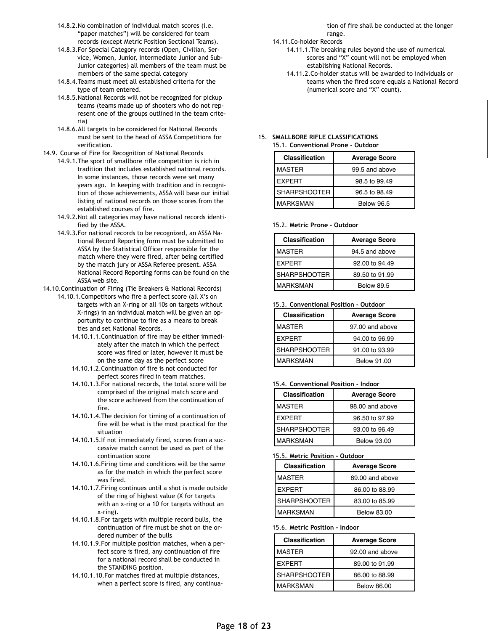- 14.8.2.No combination of individual match scores (i.e. "paper matches") will be considered for team records (except Metric Position Sectional Teams).
- 14.8.3.For Special Category records (Open, Civilian, Service, Women, Junior, Intermediate Junior and Sub-Junior categories) all members of the team must be members of the same special category
- 14.8.4.Teams must meet all established criteria for the type of team entered.
- 14.8.5.National Records will not be recognized for pickup teams (teams made up of shooters who do not represent one of the groups outlined in the team criteria)
- 14.8.6.All targets to be considered for National Records must be sent to the head of ASSA Competitions for verification.
- 14.9. Course of Fire for Recognition of National Records
	- 14.9.1.The sport of smallbore rifle competition is rich in tradition that includes established national records. In some instances, those records were set many years ago. In keeping with tradition and in recognition of those achievements, ASSA will base our initial listing of national records on those scores from the established courses of fire.
		- 14.9.2.Not all categories may have national records identified by the ASSA.
		- 14.9.3.For national records to be recognized, an ASSA National Record Reporting form must be submitted to ASSA by the Statistical Officer responsible for the match where they were fired, after being certified by the match jury or ASSA Referee present. ASSA National Record Reporting forms can be found on the ASSA web site.

14.10.Continuation of Firing (Tie Breakers & National Records)

14.10.1.Competitors who fire a perfect score (all X's on targets with an X-ring or all 10s on targets without X-rings) in an individual match will be given an opportunity to continue to fire as a means to break ties and set National Records.

- 14.10.1.1.Continuation of fire may be either immediately after the match in which the perfect score was fired or later, however it must be on the same day as the perfect score
- 14.10.1.2.Continuation of fire is not conducted for perfect scores fired in team matches.
- 14.10.1.3.For national records, the total score will be comprised of the original match score and the score achieved from the continuation of fire.
- 14.10.1.4.The decision for timing of a continuation of fire will be what is the most practical for the situation
- 14.10.1.5.If not immediately fired, scores from a successive match cannot be used as part of the continuation score
- 14.10.1.6.Firing time and conditions will be the same as for the match in which the perfect score was fired.
- 14.10.1.7.Firing continues until a shot is made outside of the ring of highest value (X for targets with an x-ring or a 10 for targets without an x-ring).
- 14.10.1.8.For targets with multiple record bulls, the continuation of fire must be shot on the ordered number of the bulls
- 14.10.1.9.For multiple position matches, when a perfect score is fired, any continuation of fire for a national record shall be conducted in the STANDING position.
- 14.10.1.10.For matches fired at multiple distances, when a perfect score is fired, any continua-

tion of fire shall be conducted at the longer range.

- 14.11.Co-holder Records
	- 14.11.1.Tie breaking rules beyond the use of numerical scores and "X" count will not be employed when establishing National Records.
	- 14.11.2.Co-holder status will be awarded to individuals or teams when the fired score equals a National Record (numerical score and "X" count).

#### 15. **SMALLBORE RIFLE CLASSIFICATIONS**  15.1. **Conventional Prone - Outdoor**

| <b>Classification</b> | <b>Average Score</b> |
|-----------------------|----------------------|
| MASTER                | 99.5 and above       |
| <b>EXPERT</b>         | 98.5 to 99.49        |
| <b>SHARPSHOOTER</b>   | 96.5 to 98.49        |
| MARKSMAN              | <b>Below 96.5</b>    |

#### 15.2. **Metric Prone - Outdoor**

| <b>Classification</b> | <b>Average Score</b> |
|-----------------------|----------------------|
| <b>MASTER</b>         | 94.5 and above       |
| <b>FXPFRT</b>         | 92,00 to 94,49       |
| <b>SHARPSHOOTER</b>   | 89.50 to 91.99       |
| <b>MARKSMAN</b>       | <b>Below 89.5</b>    |

#### 15.3. **Conventional Position - Outdoor**

| <b>Classification</b> | <b>Average Score</b> |
|-----------------------|----------------------|
| <b>MASTER</b>         | 97.00 and above      |
| <b>EXPERT</b>         | 94,00 to 96,99       |
| <b>SHARPSHOOTER</b>   | 91.00 to 93.99       |
| MARKSMAN              | <b>Below 91.00</b>   |

#### 15.4. **Conventional Position - Indoor**

| <b>Classification</b> | <b>Average Score</b> |
|-----------------------|----------------------|
| <b>MASTER</b>         | 98.00 and above      |
| <b>EXPERT</b>         | 96.50 to 97.99       |
| <b>SHARPSHOOTER</b>   | 93.00 to 96.49       |
| <b>MARKSMAN</b>       | <b>Below 93.00</b>   |

#### 15.5. **Metric Position - Outdoor**

| Classification      | <b>Average Score</b> |
|---------------------|----------------------|
| <b>MASTER</b>       | 89.00 and above      |
| <b>FXPERT</b>       | 86,00 to 88,99       |
| <b>SHARPSHOOTER</b> | 83.00 to 85.99       |
| <b>MARKSMAN</b>     | Below 83.00          |

#### 15.6. **Metric Position - Indoor**

| <b>Classification</b> | <b>Average Score</b> |
|-----------------------|----------------------|
| <b>MASTER</b>         | 92.00 and above      |
| <b>EXPERT</b>         | 89.00 to 91.99       |
| <b>SHARPSHOOTER</b>   | 86,00 to 88,99       |
| MARKSMAN              | <b>Below 86.00</b>   |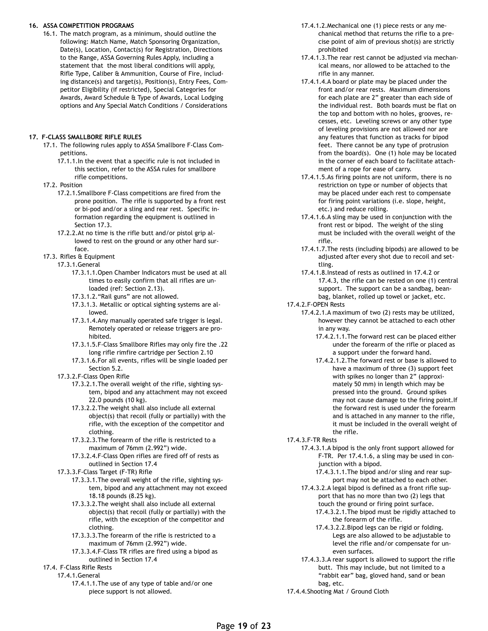#### **16. ASSA COMPETITION PROGRAMS**

16.1. The match program, as a minimum, should outline the following: Match Name, Match Sponsoring Organization, Date(s), Location, Contact(s) for Registration, Directions to the Range, ASSA Governing Rules Apply, including a statement that the most liberal conditions will apply, Rifle Type, Caliber & Ammunition, Course of Fire, including distance(s) and target(s), Position(s), Entry Fees, Competitor Eligibility (if restricted), Special Categories for Awards, Award Schedule & Type of Awards, Local Lodging options and Any Special Match Conditions / Considerations

#### **17. F-CLASS SMALLBORE RIFLE RULES**

- 17.1. The following rules apply to ASSA Smallbore F-Class Competitions.
	- 17.1.1.In the event that a specific rule is not included in this section, refer to the ASSA rules for smallbore rifle competitions.
- 17.2. Position
	- 17.2.1.Smallbore F-Class competitions are fired from the prone position. The rifle is supported by a front rest or bi-pod and/or a sling and rear rest. Specific information regarding the equipment is outlined in Section 17.3.
	- 17.2.2.At no time is the rifle butt and/or pistol grip allowed to rest on the ground or any other hard surface.
- 17.3. Rifles & Equipment
	- 17.3.1.General
		- 17.3.1.1.Open Chamber Indicators must be used at all times to easily confirm that all rifles are unloaded (ref: Section 2.13).
		- 17.3.1.2."Rail guns" are not allowed.
		- 17.3.1.3. Metallic or optical sighting systems are allowed.
		- 17.3.1.4.Any manually operated safe trigger is legal. Remotely operated or release triggers are prohibited.
		- 17.3.1.5.F-Class Smallbore Rifles may only fire the .22 long rifle rimfire cartridge per Section 2.10
		- 17.3.1.6.For all events, rifles will be single loaded per Section 5.2.
	- 17.3.2.F-Class Open Rifle
		- 17.3.2.1.The overall weight of the rifle, sighting system, bipod and any attachment may not exceed 22.0 pounds (10 kg).
		- 17.3.2.2.The weight shall also include all external object(s) that recoil (fully or partially) with the rifle, with the exception of the competitor and clothing.
		- 17.3.2.3.The forearm of the rifle is restricted to a maximum of 76mm (2.992") wide.
		- 17.3.2.4.F-Class Open rifles are fired off of rests as outlined in Section 17.4
	- 17.3.3.F-Class Target (F-TR) Rifle
		- 17.3.3.1.The overall weight of the rifle, sighting system, bipod and any attachment may not exceed 18.18 pounds (8.25 kg).
		- 17.3.3.2.The weight shall also include all external object(s) that recoil (fully or partially) with the rifle, with the exception of the competitor and clothing.
		- 17.3.3.3.The forearm of the rifle is restricted to a maximum of 76mm (2.992") wide.
		- 17.3.3.4.F-Class TR rifles are fired using a bipod as outlined in Section 17.4

#### 17.4. F-Class Rifle Rests

17.4.1.General

17.4.1.1.The use of any type of table and/or one piece support is not allowed.

- 17.4.1.2.Mechanical one (1) piece rests or any mechanical method that returns the rifle to a precise point of aim of previous shot(s) are strictly prohibited
- 17.4.1.3.The rear rest cannot be adjusted via mechanical means, nor allowed to be attached to the rifle in any manner.
- 17.4.1.4.A board or plate may be placed under the front and/or rear rests. Maximum dimensions for each plate are 2" greater than each side of the individual rest. Both boards must be flat on the top and bottom with no holes, grooves, recesses, etc. Leveling screws or any other type of leveling provisions are not allowed nor are any features that function as tracks for bipod feet. There cannot be any type of protrusion from the board(s). One (1) hole may be located in the corner of each board to facilitate attachment of a rope for ease of carry.
- 17.4.1.5.As firing points are not uniform, there is no restriction on type or number of objects that may be placed under each rest to compensate for firing point variations (i.e. slope, height, etc.) and reduce rolling.
- 17.4.1.6.A sling may be used in conjunction with the front rest or bipod. The weight of the sling must be included with the overall weight of the rifle.
- 17.4.1.7.The rests (including bipods) are allowed to be adjusted after every shot due to recoil and settling.
- 17.4.1.8.Instead of rests as outlined in 17.4.2 or 17.4.3, the rifle can be rested on one (1) central support. The support can be a sandbag, beanbag, blanket, rolled up towel or jacket, etc.

17.4.2.F-OPEN Rests

- 17.4.2.1.A maximum of two (2) rests may be utilized, however they cannot be attached to each other in any way.
	- 17.4.2.1.1.The forward rest can be placed either under the forearm of the rifle or placed as a support under the forward hand.
	- 17.4.2.1.2.The forward rest or base is allowed to have a maximum of three (3) support feet with spikes no longer than 2" (approximately 50 mm) in length which may be pressed into the ground. Ground spikes may not cause damage to the firing point.If the forward rest is used under the forearm and is attached in any manner to the rifle, it must be included in the overall weight of the rifle.
- 17.4.3.F-TR Rests
	- 17.4.3.1.A bipod is the only front support allowed for F-TR. Per 17.4.1.6, a sling may be used in conjunction with a bipod.
		- 17.4.3.1.1.The bipod and/or sling and rear support may not be attached to each other.
	- 17.4.3.2.A legal bipod is defined as a front rifle support that has no more than two (2) legs that touch the ground or firing point surface.
		- 17.4.3.2.1.The bipod must be rigidly attached to the forearm of the rifle.
		- 17.4.3.2.2.Bipod legs can be rigid or folding. Legs are also allowed to be adjustable to level the rifle and/or compensate for uneven surfaces.
	- 17.4.3.3.A rear support is allowed to support the rifle butt. This may include, but not limited to a "rabbit ear" bag, gloved hand, sand or bean bag, etc.
- 17.4.4.Shooting Mat / Ground Cloth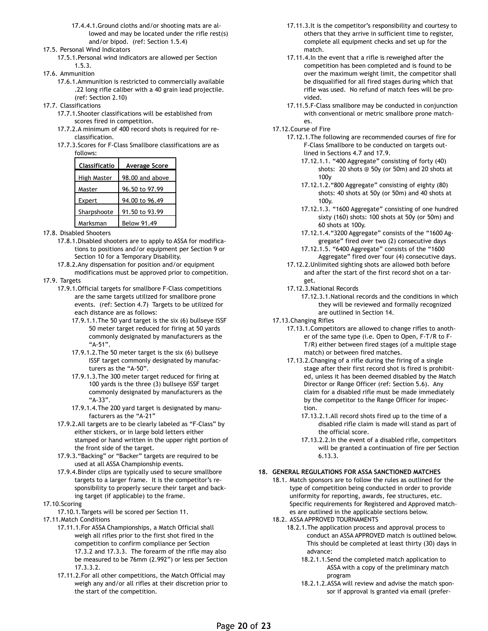- 17.4.4.1.Ground cloths and/or shooting mats are allowed and may be located under the rifle rest(s) and/or bipod. (ref: Section 1.5.4)
- 17.5. Personal Wind Indicators
	- 17.5.1.Personal wind indicators are allowed per Section 1.5.3.
- 17.6. Ammunition
	- 17.6.1.Ammunition is restricted to commercially available .22 long rifle caliber with a 40 grain lead projectile. (ref: Section 2.10)
- 17.7. Classifications
	- 17.7.1.Shooter classifications will be established from scores fired in competition.
	- 17.7.2.A minimum of 400 record shots is required for reclassification.
	- 17.7.3.Scores for F-Class Smallbore classifications are as follows:

| <b>Classificatio</b> | <b>Average Score</b> |
|----------------------|----------------------|
| High Master          | 98,00 and above      |
| Master               | 96.50 to 97.99       |
| Expert               | 94.00 to 96.49       |
| Sharpshoote          | 91.50 to 93.99       |
| Marksman             | <b>Below 91.49</b>   |

- 17.8. Disabled Shooters
	- 17.8.1.Disabled shooters are to apply to ASSA for modifications to positions and/or equipment per Section 9 or Section 10 for a Temporary Disability.
	- 17.8.2.Any dispensation for position and/or equipment modifications must be approved prior to competition.
- 17.9. Targets
	- 17.9.1.Official targets for smallbore F-Class competitions are the same targets utilized for smallbore prone events. (ref: Section 4.7) Targets to be utilized for each distance are as follows:
		- 17.9.1.1.The 50 yard target is the six (6) bullseye ISSF 50 meter target reduced for firing at 50 yards commonly designated by manufacturers as the "A-51".
		- 17.9.1.2.The 50 meter target is the six (6) bullseye ISSF target commonly designated by manufacturers as the "A-50".
		- 17.9.1.3.The 300 meter target reduced for firing at 100 yards is the three (3) bullseye ISSF target commonly designated by manufacturers as the "A-33".
		- 17.9.1.4.The 200 yard target is designated by manufacturers as the "A-21"
	- 17.9.2.All targets are to be clearly labeled as "F-Class" by either stickers, or in large bold letters either stamped or hand written in the upper right portion of the front side of the target.
	- 17.9.3."Backing" or "Backer" targets are required to be used at all ASSA Championship events.
	- 17.9.4.Binder clips are typically used to secure smallbore targets to a larger frame. It is the competitor's responsibility to properly secure their target and backing target (if applicable) to the frame.
- 17.10.Scoring
- 17.10.1.Targets will be scored per Section 11.
- 17.11.Match Conditions
	- 17.11.1.For ASSA Championships, a Match Official shall weigh all rifles prior to the first shot fired in the competition to confirm compliance per Section 17.3.2 and 17.3.3. The forearm of the rifle may also be measured to be 76mm (2.992") or less per Section 17.3.3.2.
	- 17.11.2.For all other competitions, the Match Official may weigh any and/or all rifles at their discretion prior to the start of the competition.
- 17.11.3.It is the competitor's responsibility and courtesy to others that they arrive in sufficient time to register, complete all equipment checks and set up for the match.
- 17.11.4.In the event that a rifle is reweighed after the competition has been completed and is found to be over the maximum weight limit, the competitor shall be disqualified for all fired stages during which that rifle was used. No refund of match fees will be provided.
- 17.11.5.F-Class smallbore may be conducted in conjunction with conventional or metric smallbore prone matches.
- 17.12.Course of Fire
	- 17.12.1.The following are recommended courses of fire for F-Class Smallbore to be conducted on targets outlined in Sections 4.7 and 17.9.
		- 17.12.1.1. "400 Aggregate" consisting of forty (40) shots: 20 shots @ 50y (or 50m) and 20 shots at 100y
		- 17.12.1.2."800 Aggregate" consisting of eighty (80) shots: 40 shots at 50y (or 50m) and 40 shots at 100y.
		- 17.12.1.3. "1600 Aggregate" consisting of one hundred sixty (160) shots: 100 shots at 50y (or 50m) and 60 shots at 100y.
		- 17.12.1.4."3200 Aggregate" consists of the "1600 Aggregate" fired over two (2) consecutive days 17.12.1.5. "6400 Aggregate" consists of the "1600
		- Aggregate" fired over four (4) consecutive days.
	- 17.12.2.Unlimited sighting shots are allowed both before and after the start of the first record shot on a target.
	- 17.12.3.National Records
		- 17.12.3.1.National records and the conditions in which they will be reviewed and formally recognized are outlined in Section 14.
- 17.13.Changing Rifles
	- 17.13.1.Competitors are allowed to change rifles to another of the same type (i.e. Open to Open, F-T/R to F-T/R) either between fired stages (of a multiple stage match) or between fired matches.
	- 17.13.2.Changing of a rifle during the firing of a single stage after their first record shot is fired is prohibited, unless it has been deemed disabled by the Match Director or Range Officer (ref: Section 5.6). Any claim for a disabled rifle must be made immediately by the competitor to the Range Officer for inspection.
		- 17.13.2.1.All record shots fired up to the time of a disabled rifle claim is made will stand as part of the official score.
		- 17.13.2.2.In the event of a disabled rifle, competitors will be granted a continuation of fire per Section 6.13.3.

### **18. GENERAL REGULATIONS FOR ASSA SANCTIONED MATCHES**

- 18.1. Match sponsors are to follow the rules as outlined for the type of competition being conducted in order to provide uniformity for reporting, awards, fee structures, etc. Specific requirements for Registered and Approved matches are outlined in the applicable sections below.
- 18.2. ASSA APPROVED TOURNAMENTS
	- 18.2.1.The application process and approval process to conduct an ASSA APPROVED match is outlined below. This should be completed at least thirty (30) days in advance:
		- 18.2.1.1.Send the completed match application to ASSA with a copy of the preliminary match program
		- 18.2.1.2.ASSA will review and advise the match sponsor if approval is granted via email (prefer-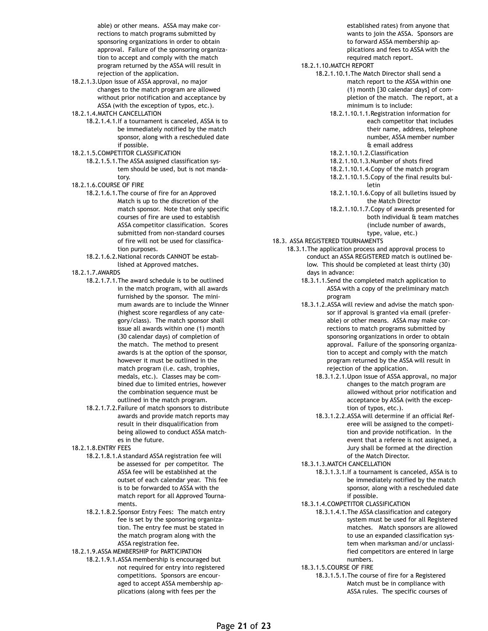able) or other means. ASSA may make corrections to match programs submitted by sponsoring organizations in order to obtain approval. Failure of the sponsoring organization to accept and comply with the match program returned by the ASSA will result in rejection of the application.

- 18.2.1.3.Upon issue of ASSA approval, no major changes to the match program are allowed without prior notification and acceptance by ASSA (with the exception of typos, etc.).
- 18.2.1.4.MATCH CANCELLATION
	- 18.2.1.4.1.If a tournament is canceled, ASSA is to be immediately notified by the match sponsor, along with a rescheduled date if possible.
- 18.2.1.5.COMPETITOR CLASSIFICATION
	- 18.2.1.5.1.The ASSA assigned classification system should be used, but is not mandatory.
- 18.2.1.6.COURSE OF FIRE
	- 18.2.1.6.1.The course of fire for an Approved Match is up to the discretion of the match sponsor. Note that only specific courses of fire are used to establish ASSA competitor classification. Scores submitted from non-standard courses of fire will not be used for classification purposes.
	- 18.2.1.6.2.National records CANNOT be established at Approved matches.
- 18.2.1.7.AWARDS
	- 18.2.1.7.1.The award schedule is to be outlined in the match program, with all awards furnished by the sponsor. The minimum awards are to include the Winner (highest score regardless of any category/class). The match sponsor shall issue all awards within one (1) month (30 calendar days) of completion of the match. The method to present awards is at the option of the sponsor, however it must be outlined in the match program (i.e. cash, trophies, medals, etc.). Classes may be combined due to limited entries, however the combination sequence must be outlined in the match program.
	- 18.2.1.7.2.Failure of match sponsors to distribute awards and provide match reports may result in their disqualification from being allowed to conduct ASSA matches in the future.
- 18.2.1.8.ENTRY FEES
	- 18.2.1.8.1.A standard ASSA registration fee will be assessed for per competitor. The ASSA fee will be established at the outset of each calendar year. This fee is to be forwarded to ASSA with the match report for all Approved Tournaments.
	- 18.2.1.8.2.Sponsor Entry Fees: The match entry fee is set by the sponsoring organization. The entry fee must be stated in the match program along with the ASSA registration fee.
- 18.2.1.9.ASSA MEMBERSHIP for PARTICIPATION
	- 18.2.1.9.1.ASSA membership is encouraged but not required for entry into registered competitions. Sponsors are encouraged to accept ASSA membership applications (along with fees per the

established rates) from anyone that wants to join the ASSA. Sponsors are to forward ASSA membership applications and fees to ASSA with the required match report.

- 18.2.1.10.MATCH REPORT
	- 18.2.1.10.1.The Match Director shall send a match report to the ASSA within one (1) month [30 calendar days] of completion of the match. The report, at a minimum is to include:
		- 18.2.1.10.1.1.Registration information for each competitor that includes their name, address, telephone number, ASSA member number & email address
		- 18.2.1.10.1.2.Classification
		- 18.2.1.10.1.3.Number of shots fired
		- 18.2.1.10.1.4.Copy of the match program
		- 18.2.1.10.1.5.Copy of the final results bulletin
		- 18.2.1.10.1.6.Copy of all bulletins issued by the Match Director
		- 18.2.1.10.1.7.Copy of awards presented for both individual & team matches (include number of awards, type, value, etc.)
- 18.3. ASSA REGISTERED TOURNAMENTS
	- 18.3.1.The application process and approval process to conduct an ASSA REGISTERED match is outlined below. This should be completed at least thirty (30) days in advance:
		- 18.3.1.1.Send the completed match application to ASSA with a copy of the preliminary match program
		- 18.3.1.2.ASSA will review and advise the match sponsor if approval is granted via email (preferable) or other means. ASSA may make corrections to match programs submitted by sponsoring organizations in order to obtain approval. Failure of the sponsoring organization to accept and comply with the match program returned by the ASSA will result in rejection of the application.
			- 18.3.1.2.1.Upon issue of ASSA approval, no major changes to the match program are allowed without prior notification and acceptance by ASSA (with the exception of typos, etc.).
			- 18.3.1.2.2.ASSA will determine if an official Referee will be assigned to the competition and provide notification. In the event that a referee is not assigned, a Jury shall be formed at the direction of the Match Director.
		- 18.3.1.3.MATCH CANCELLATION
			- 18.3.1.3.1.If a tournament is canceled, ASSA is to be immediately notified by the match sponsor, along with a rescheduled date if possible.
		- 18.3.1.4.COMPETITOR CLASSIFICATION
			- 18.3.1.4.1.The ASSA classification and category system must be used for all Registered matches. Match sponsors are allowed to use an expanded classification system when marksman and/or unclassified competitors are entered in large numbers.
		- 18.3.1.5.COURSE OF FIRE
			- 18.3.1.5.1.The course of fire for a Registered Match must be in compliance with ASSA rules. The specific courses of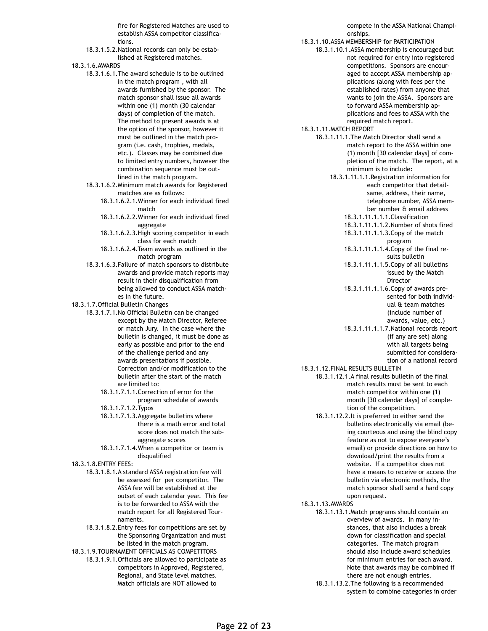fire for Registered Matches are used to establish ASSA competitor classifications.

- 18.3.1.5.2.National records can only be established at Registered matches.
- 18.3.1.6.AWARDS
	- 18.3.1.6.1.The award schedule is to be outlined in the match program , with all awards furnished by the sponsor. The match sponsor shall issue all awards within one (1) month (30 calendar days) of completion of the match. The method to present awards is at the option of the sponsor, however it must be outlined in the match program (i.e. cash, trophies, medals, etc.). Classes may be combined due to limited entry numbers, however the combination sequence must be outlined in the match program.
	- 18.3.1.6.2.Minimum match awards for Registered matches are as follows:
		- 18.3.1.6.2.1.Winner for each individual fired match
		- 18.3.1.6.2.2.Winner for each individual fired aggregate
		- 18.3.1.6.2.3.High scoring competitor in each class for each match
		- 18.3.1.6.2.4.Team awards as outlined in the match program
	- 18.3.1.6.3.Failure of match sponsors to distribute awards and provide match reports may result in their disqualification from being allowed to conduct ASSA matches in the future.
- 18.3.1.7.Official Bulletin Changes
	- 18.3.1.7.1.No Official Bulletin can be changed except by the Match Director, Referee or match Jury. In the case where the bulletin is changed, it must be done as early as possible and prior to the end of the challenge period and any awards presentations if possible. Correction and/or modification to the bulletin after the start of the match are limited to:
		- 18.3.1.7.1.1.Correction of error for the program schedule of awards
		- 18.3.1.7.1.2.Typos
		- 18.3.1.7.1.3.Aggregate bulletins where there is a math error and total score does not match the subaggregate scores
		- 18.3.1.7.1.4.When a competitor or team is disqualified
- 18.3.1.8.ENTRY FEES:
	- 18.3.1.8.1.A standard ASSA registration fee will be assessed for per competitor. The ASSA fee will be established at the outset of each calendar year. This fee is to be forwarded to ASSA with the match report for all Registered Tournaments.
	- 18.3.1.8.2.Entry fees for competitions are set by the Sponsoring Organization and must be listed in the match program.
- 18.3.1.9.TOURNAMENT OFFICIALS AS COMPETITORS 18.3.1.9.1.Officials are allowed to participate as competitors in Approved, Registered, Regional, and State level matches. Match officials are NOT allowed to

compete in the ASSA National Championships.

- 18.3.1.10.ASSA MEMBERSHIP for PARTICIPATION
	- 18.3.1.10.1.ASSA membership is encouraged but not required for entry into registered competitions. Sponsors are encouraged to accept ASSA membership applications (along with fees per the established rates) from anyone that wants to join the ASSA. Sponsors are to forward ASSA membership applications and fees to ASSA with the required match report.
- 18.3.1.11.MATCH REPORT
	- 18.3.1.11.1.The Match Director shall send a match report to the ASSA within one (1) month [30 calendar days] of completion of the match. The report, at a minimum is to include:
		- 18.3.1.11.1.1.Registration information for each competitor that detailsame, address, their name, telephone number, ASSA member number & email address 18.3.1.11.1.1.1.Classification
			- 18.3.1.11.1.1.2.Number of shots fired 18.3.1.11.1.1.3.Copy of the match
				- program
			- 18.3.1.11.1.1.4.Copy of the final results bulletin
			- 18.3.1.11.1.1.5.Copy of all bulletins issued by the Match Director
			- 18.3.1.11.1.1.6.Copy of awards presented for both individual & team matches (include number of awards, value, etc.)
			- 18.3.1.11.1.1.7.National records report (if any are set) along with all targets being submitted for consideration of a national record
- 18.3.1.12.FINAL RESULTS BULLETIN
	- 18.3.1.12.1.A final results bulletin of the final match results must be sent to each match competitor within one (1) month [30 calendar days] of completion of the competition.
		- 18.3.1.12.2.It is preferred to either send the bulletins electronically via email (being courteous and using the blind copy feature as not to expose everyone's email) or provide directions on how to download/print the results from a website. If a competitor does not have a means to receive or access the bulletin via electronic methods, the match sponsor shall send a hard copy upon request.
- 18.3.1.13.AWARDS
	- 18.3.1.13.1.Match programs should contain an overview of awards. In many instances, that also includes a break down for classification and special categories. The match program should also include award schedules for minimum entries for each award. Note that awards may be combined if there are not enough entries.
	- 18.3.1.13.2.The following is a recommended system to combine categories in order